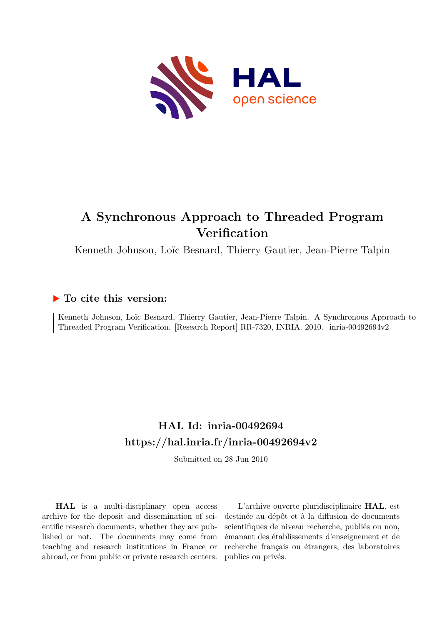

# **A Synchronous Approach to Threaded Program Verification**

Kenneth Johnson, Loïc Besnard, Thierry Gautier, Jean-Pierre Talpin

## **To cite this version:**

Kenneth Johnson, Loïc Besnard, Thierry Gautier, Jean-Pierre Talpin. A Synchronous Approach to Threaded Program Verification. [Research Report] RR-7320, INRIA. 2010. inria-00492694v2

## **HAL Id: inria-00492694 <https://hal.inria.fr/inria-00492694v2>**

Submitted on 28 Jun 2010

**HAL** is a multi-disciplinary open access archive for the deposit and dissemination of scientific research documents, whether they are published or not. The documents may come from teaching and research institutions in France or abroad, or from public or private research centers.

L'archive ouverte pluridisciplinaire **HAL**, est destinée au dépôt et à la diffusion de documents scientifiques de niveau recherche, publiés ou non, émanant des établissements d'enseignement et de recherche français ou étrangers, des laboratoires publics ou privés.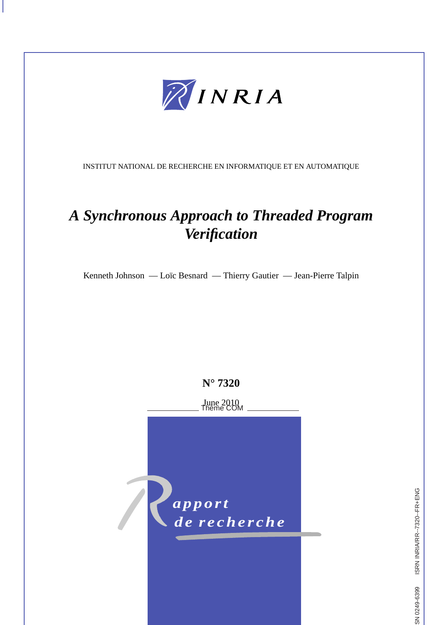

INSTITUT NATIONAL DE RECHERCHE EN INFORMATIQUE ET EN AUTOMATIQUE

# *A Synchronous Approach to Threaded Program Verification*

Kenneth Johnson — Loïc Besnard — Thierry Gautier — Jean-Pierre Talpin

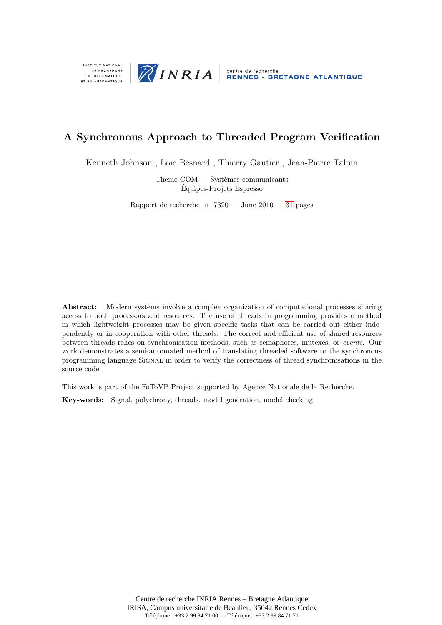



## A Synchronous Approach to Threaded Program Verification

Kenneth Johnson, Loïc Besnard, Thierry Gautier, Jean-Pierre Talpin

Thème  $COM - S$ ystèmes communicants Equipes-Projets Espresso ´

Rapport de recherche n  $7320 - \text{June } 2010 - 31$  $7320 - \text{June } 2010 - 31$  pages

Abstract: Modern systems involve a complex organization of computational processes sharing access to both processors and resources. The use of threads in programming provides a method in which lightweight processes may be given specific tasks that can be carried out either independently or in cooperation with other threads. The correct and efficient use of shared resources between threads relies on synchronisation methods, such as semaphores, mutexes, or events. Our work demonstrates a semi-automated method of translating threaded software to the synchronous programming language Signal in order to verify the correctness of thread synchronisations in the source code.

This work is part of the FoToVP Project supported by Agence Nationale de la Recherche.

Key-words: Signal, polychrony, threads, model generation, model checking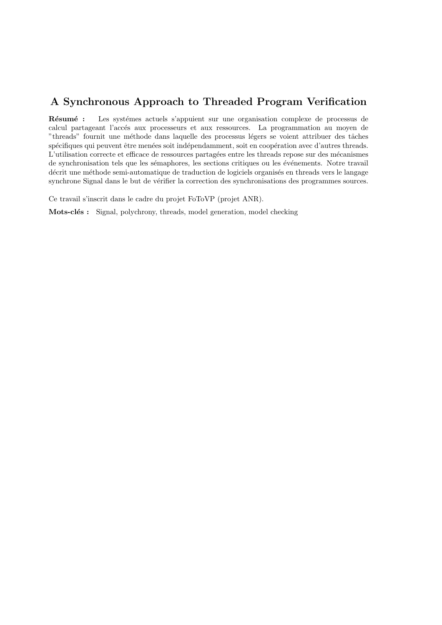## A Synchronous Approach to Threaded Program Verification

Résumé : Les systémes actuels s'appuient sur une organisation complexe de processus de calcul partageant l'accés aux processeurs et aux ressources. La programmation au moyen de "threads" fournit une méthode dans laquelle des processus légers se voient attribuer des tâches spécifiques qui peuvent être menées soit indépendamment, soit en coopération avec d'autres threads. L'utilisation correcte et efficace de ressources partagées entre les threads repose sur des mécanismes de synchronisation tels que les sémaphores, les sections critiques ou les événements. Notre travail décrit une méthode semi-automatique de traduction de logiciels organisés en threads vers le langage synchrone Signal dans le but de vérifier la correction des synchronisations des programmes sources.

Ce travail s'inscrit dans le cadre du projet FoToVP (projet ANR).

Mots-clés : Signal, polychrony, threads, model generation, model checking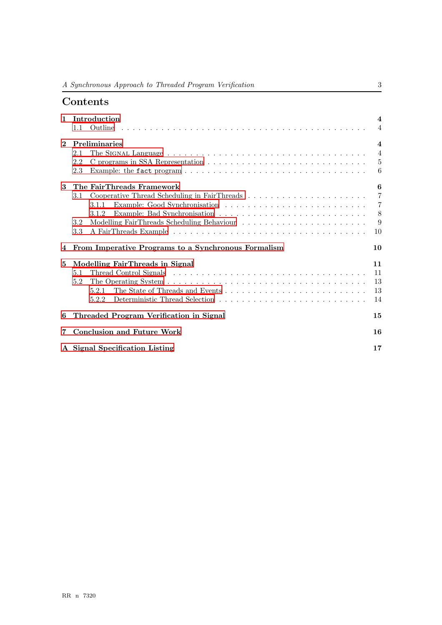## Contents

| $\mathbf{1}$ | Introduction                                          | $\overline{\mathbf{4}}$ |
|--------------|-------------------------------------------------------|-------------------------|
|              | 1.1                                                   | $\overline{4}$          |
| $\mathbf{2}$ | Preliminaries                                         | $\overline{\mathbf{4}}$ |
|              | 2.1                                                   | $\overline{4}$          |
|              | 2.2                                                   | $\overline{5}$          |
|              | 2.3                                                   | 6                       |
| 3            | The FairThreads Framework                             | 6                       |
|              | 3.1                                                   | $\overline{7}$          |
|              | 3.1.1                                                 | $\overline{7}$          |
|              | 3.1.2                                                 | 8                       |
|              | 3.2                                                   | 9                       |
|              | 3.3                                                   | 10                      |
|              | 4 From Imperative Programs to a Synchronous Formalism | 10                      |
| 5            | Modelling FairThreads in Signal                       | 11                      |
|              | 5.1                                                   | 11                      |
|              | 5.2                                                   | 13                      |
|              |                                                       | 13                      |
|              | 5.2.2                                                 | 14                      |
| 6            | Threaded Program Verification in Signal               | 15                      |
| 7            | <b>Conclusion and Future Work</b>                     | 16                      |
|              | A Signal Specification Listing                        | 17                      |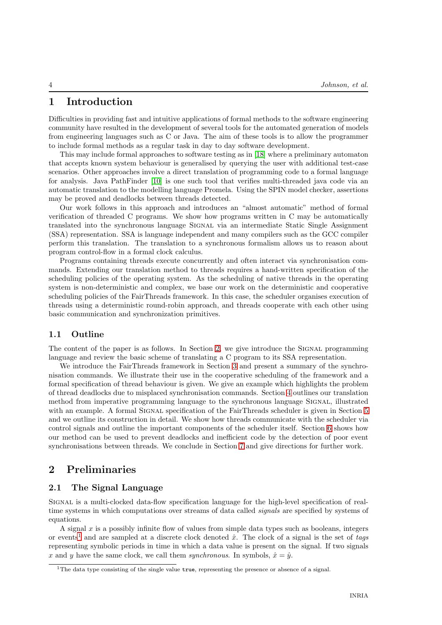## <span id="page-6-0"></span>1 Introduction

Difficulties in providing fast and intuitive applications of formal methods to the software engineering community have resulted in the development of several tools for the automated generation of models from engineering languages such as C or Java. The aim of these tools is to allow the programmer to include formal methods as a regular task in day to day software development.

This may include formal approaches to software testing as in [\[18\]](#page-33-0) where a preliminary automaton that accepts known system behaviour is generalised by querying the user with additional test-case scenarios. Other approaches involve a direct translation of programming code to a formal language for analysis. Java PathFinder [\[10\]](#page-32-1) is one such tool that verifies multi-threaded java code via an automatic translation to the modelling language Promela. Using the SPIN model checker, assertions may be proved and deadlocks between threads detected.

Our work follows in this approach and introduces an "almost automatic" method of formal verification of threaded C programs. We show how programs written in C may be automatically translated into the synchronous language SIGNAL via an intermediate Static Single Assignment (SSA) representation. SSA is language independent and many compilers such as the GCC compiler perform this translation. The translation to a synchronous formalism allows us to reason about program control-flow in a formal clock calculus.

Programs containing threads execute concurrently and often interact via synchronisation commands. Extending our translation method to threads requires a hand-written specification of the scheduling policies of the operating system. As the scheduling of native threads in the operating system is non-deterministic and complex, we base our work on the deterministic and cooperative scheduling policies of the FairThreads framework. In this case, the scheduler organises execution of threads using a deterministic round-robin approach, and threads cooperate with each other using basic communication and synchronization primitives.

#### <span id="page-6-1"></span>1.1 Outline

The content of the paper is as follows. In Section [2,](#page-6-2) we give introduce the SIGNAL programming language and review the basic scheme of translating a C program to its SSA representation.

We introduce the FairThreads framework in Section [3](#page-8-1) and present a summary of the synchronisation commands. We illustrate their use in the cooperative scheduling of the framework and a formal specification of thread behaviour is given. We give an example which highlights the problem of thread deadlocks due to misplaced synchronisation commands. Section [4](#page-12-1) outlines our translation method from imperative programming language to the synchronous language Signal, illustrated with an example. A formal SIGNAL specification of the FairThreads scheduler is given in Section [5](#page-13-0) and we outline its construction in detail. We show how threads communicate with the scheduler via control signals and outline the important components of the scheduler itself. Section [6](#page-17-0) shows how our method can be used to prevent deadlocks and inefficient code by the detection of poor event synchronisations between threads. We conclude in Section [7](#page-18-0) and give directions for further work.

## <span id="page-6-3"></span><span id="page-6-2"></span>2 Preliminaries

#### 2.1 The Signal Language

Signal is a multi-clocked data-flow specification language for the high-level specification of realtime systems in which computations over streams of data called *signals* are specified by systems of equations.

A signal  $x$  is a possibly infinite flow of values from simple data types such as booleans, integers or events<sup>[1](#page-6-4)</sup> and are sampled at a discrete clock denoted  $\hat{x}$ . The clock of a signal is the set of tags representing symbolic periods in time in which a data value is present on the signal. If two signals x and y have the same clock, we call them synchronous. In symbols,  $\hat{x} = \hat{y}$ .

<span id="page-6-4"></span><sup>&</sup>lt;sup>1</sup>The data type consisting of the single value true, representing the presence or absence of a signal.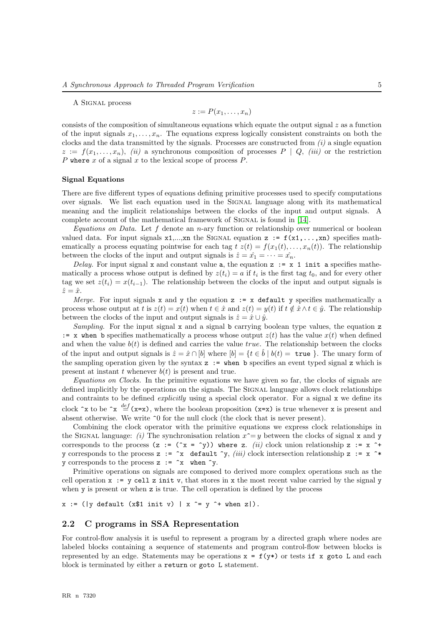A Signal process

$$
z := P(x_1, \ldots, x_n)
$$

consists of the composition of simultaneous equations which equate the output signal  $z$  as a function of the input signals  $x_1, \ldots, x_n$ . The equations express logically consistent constraints on both the clocks and the data transmitted by the signals. Processes are constructed from  $(i)$  a single equation  $z := f(x_1, \ldots, x_n)$ , *(ii)* a synchronous composition of processes  $P \mid Q$ , *(iii)* or the restriction P where x of a signal x to the lexical scope of process  $P$ .

#### Signal Equations

There are five different types of equations defining primitive processes used to specify computations over signals. We list each equation used in the SIGNAL language along with its mathematical meaning and the implicit relationships between the clocks of the input and output signals. A complete account of the mathematical framework of SIGNAL is found in [\[14\]](#page-33-1).

Equations on Data. Let f denote an n-ary function or relationship over numerical or boolean valued data. For input signals  $x1,...,xn$  the SIGNAL equation  $z := f(x1,...,xn)$  specifies mathematically a process equating pointwise for each tag  $t z(t) = f(x_1(t), \ldots, x_n(t))$ . The relationship between the clocks of the input and output signals is  $\hat{z} = \hat{x_1} = \cdots = \hat{x_n}$ .

Delay. For input signal x and constant value a, the equation  $z := x 1$  init a specifies mathematically a process whose output is defined by  $z(t_i) = a$  if  $t_i$  is the first tag  $t_0$ , and for every other tag we set  $z(t_i) = x(t_{i-1})$ . The relationship between the clocks of the input and output signals is  $\hat{z} = \hat{x}$ .

*Merge.* For input signals x and y the equation  $z := x$  default y specifies mathematically a process whose output at t is  $z(t) = x(t)$  when  $t \in \hat{x}$  and  $z(t) = y(t)$  if  $t \notin \hat{x} \wedge t \in \hat{y}$ . The relationship between the clocks of the input and output signals is  $\hat{z} = \hat{x} \cup \hat{y}$ .

Sampling. For the input signal  $x$  and a signal b carrying boolean type values, the equation  $z$ := x when b specifies mathematically a process whose output  $z(t)$  has the value  $x(t)$  when defined and when the value  $b(t)$  is defined and carries the value *true*. The relationship between the clocks of the input and output signals is  $\hat{z} = \hat{x} \cap [b]$  where  $[b] = \{t \in \hat{b} \mid b(t) = \text{true} \}$ . The unary form of the sampling operation given by the syntax  $z := \text{when } b$  specifies an event typed signal z which is present at instant t whenever  $b(t)$  is present and true.

Equations on Clocks. In the primitive equations we have given so far, the clocks of signals are defined implicitly by the operations on the signals. The SIGNAL language allows clock relationships and contraints to be defined *explicitly* using a special clock operator. For a signal x we define its clock  $\hat{z}$  to be  $\hat{z} \stackrel{def}{=} (x=x)$ , where the boolean proposition  $(x=x)$  is true whenever x is present and absent otherwise. We write  $\hat{ }$  o for the null clock (the clock that is never present).

Combining the clock operator with the primitive equations we express clock relationships in the SIGNAL language: (i) The synchronisation relation  $x^{\text{-}}y$  between the clocks of signal x and y corresponds to the process (z :=  $(\hat{x} = \hat{y})$ ) where z. (ii) clock union relationship z := x  $\hat{t}$ + y corresponds to the process z :=  $\tilde{x}$  default  $\tilde{y}$ , (iii) clock intersection relationship z := x  $\tilde{x}$ y corresponds to the process  $z := \hat{y}$  when  $\hat{y}$ .

Primitive operations on signals are composed to derived more complex operations such as the cell operation  $x := y$  cell z init v, that stores in x the most recent value carried by the signal y when y is present or when z is true. The cell operation is defined by the process

 $x := (|y| \text{ default } (x $1 \text{ init } v) | x \rightharpoonup y \rightharpoonup + when z|).$ 

#### <span id="page-7-0"></span>2.2 C programs in SSA Representation

For control-flow analysis it is useful to represent a program by a directed graph where nodes are labeled blocks containing a sequence of statements and program control-flow between blocks is represented by an edge. Statements may be operations  $x = f(y*)$  or tests if x goto L and each block is terminated by either a return or goto L statement.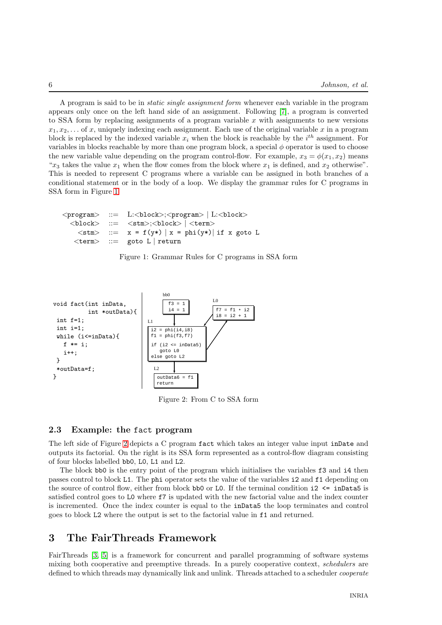A program is said to be in static single assignment form whenever each variable in the program appears only once on the left hand side of an assignment. Following [\[7\]](#page-32-2), a program is converted to SSA form by replacing assignments of a program variable  $x$  with assignments to new versions  $x_1, x_2, \ldots$  of x, uniquely indexing each assignment. Each use of the original variable x in a program block is replaced by the indexed variable  $x_i$  when the block is reachable by the  $i^{th}$  assignment. For variables in blocks reachable by more than one program block, a special  $\phi$  operator is used to choose the new variable value depending on the program control-flow. For example,  $x_3 = \phi(x_1, x_2)$  means " $x_3$  takes the value  $x_1$  when the flow comes from the block where  $x_1$  is defined, and  $x_2$  otherwise". This is needed to represent C programs where a variable can be assigned in both branches of a conditional statement or in the body of a loop. We display the grammar rules for C programs in SSA form in Figure [1](#page-8-2)

```
<program> ::= L:<block>;<program> | L:<block>
   \langle \texttt{block}\rangle ::= \langle \texttt{stm}\rangle;\langle \texttt{block}\rangle | \langle \texttt{term}\rangle\langlestm\rangle ::= x = f(y*) | x = phi(y*) | if x goto L
     \text{ <term} > ::= goto L | return
```
<span id="page-8-2"></span>Figure 1: Grammar Rules for C programs in SSA form



<span id="page-8-3"></span>Figure 2: From C to SSA form

#### <span id="page-8-0"></span>2.3 Example: the fact program

The left side of Figure [2](#page-8-3) depicts a C program fact which takes an integer value input inDate and outputs its factorial. On the right is its SSA form represented as a control-flow diagram consisting of four blocks labelled bb0, L0, L1 and L2.

The block bb0 is the entry point of the program which initialises the variables f3 and i4 then passes control to block L1. The phi operator sets the value of the variables i2 and f1 depending on the source of control flow, either from block bb0 or L0. If the terminal condition  $i2 \leq i1$  nData5 is satisfied control goes to L0 where f7 is updated with the new factorial value and the index counter is incremented. Once the index counter is equal to the inData5 the loop terminates and control goes to block L2 where the output is set to the factorial value in f1 and returned.

## <span id="page-8-1"></span>3 The FairThreads Framework

FairThreads [\[3,](#page-32-3) [5\]](#page-32-4) is a framework for concurrent and parallel programming of software systems mixing both cooperative and preemptive threads. In a purely cooperative context, *schedulers* are defined to which threads may dynamically link and unlink. Threads attached to a scheduler *cooperate*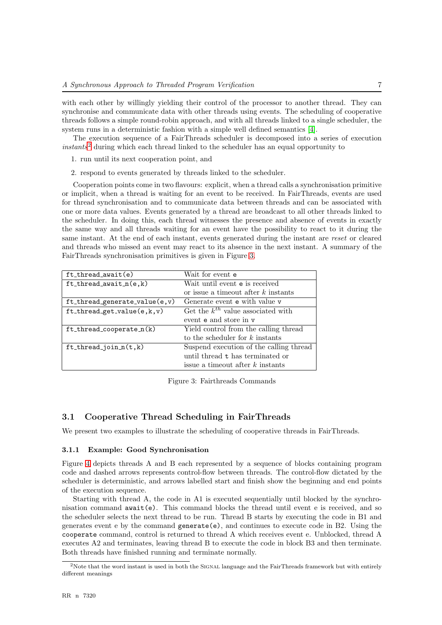with each other by willingly yielding their control of the processor to another thread. They can synchronise and communicate data with other threads using events. The scheduling of cooperative threads follows a simple round-robin approach, and with all threads linked to a single scheduler, the system runs in a deterministic fashion with a simple well defined semantics [\[4\]](#page-32-5).

The execution sequence of a FairThreads scheduler is decomposed into a series of execution instants[2](#page-9-2) during which each thread linked to the scheduler has an equal opportunity to

- 1. run until its next cooperation point, and
- 2. respond to events generated by threads linked to the scheduler.

Cooperation points come in two flavours: explicit, when a thread calls a synchronisation primitive or implicit, when a thread is waiting for an event to be received. In FairThreads, events are used for thread synchronisation and to communicate data between threads and can be associated with one or more data values. Events generated by a thread are broadcast to all other threads linked to the scheduler. In doing this, each thread witnesses the presence and absence of events in exactly the same way and all threads waiting for an event have the possibility to react to it during the same instant. At the end of each instant, events generated during the instant are reset or cleared and threads who missed an event may react to its absence in the next instant. A summary of the FairThreads synchronisation primitives is given in Figure [3.](#page-9-3)

| $ft_{thread\_await(e)}$           | Wait for event <b>e</b>                 |  |  |  |
|-----------------------------------|-----------------------------------------|--|--|--|
| $ft_{thread\_await\_n(e, k)}$     | Wait until event e is received          |  |  |  |
|                                   | or issue a timeout after $k$ instants   |  |  |  |
| $ft$ _thread_generate_value(e,v)  | Generate event e with value v           |  |  |  |
| $ft_{thread\_get_value(e, k, v)}$ | Get the $k^{th}$ value associated with  |  |  |  |
|                                   | event e and store in v                  |  |  |  |
| $ft_{thread\_cooperative_n(k)}$   | Yield control from the calling thread   |  |  |  |
|                                   | to the scheduler for $k$ instants       |  |  |  |
| $ft_{thread\_join_n(t, k)}$       | Suspend execution of the calling thread |  |  |  |
|                                   | until thread t has terminated or        |  |  |  |
|                                   | issue a timeout after $k$ instants      |  |  |  |

<span id="page-9-3"></span>Figure 3: Fairthreads Commands

#### <span id="page-9-0"></span>3.1 Cooperative Thread Scheduling in FairThreads

We present two examples to illustrate the scheduling of cooperative threads in FairThreads.

#### <span id="page-9-1"></span>3.1.1 Example: Good Synchronisation

Figure [4](#page-10-1) depicts threads A and B each represented by a sequence of blocks containing program code and dashed arrows represents control-flow between threads. The control-flow dictated by the scheduler is deterministic, and arrows labelled start and finish show the beginning and end points of the execution sequence.

Starting with thread A, the code in A1 is executed sequentially until blocked by the synchronisation command  $await(e)$ . This command blocks the thread until event e is received, and so the scheduler selects the next thread to be run. Thread B starts by executing the code in B1 and generates event e by the command generate(e), and continues to execute code in B2. Using the cooperate command, control is returned to thread A which receives event e. Unblocked, thread A executes A2 and terminates, leaving thread B to execute the code in block B3 and then terminate. Both threads have finished running and terminate normally.

<span id="page-9-2"></span><sup>&</sup>lt;sup>2</sup>Note that the word instant is used in both the SIGNAL language and the FairThreads framework but with entirely different meanings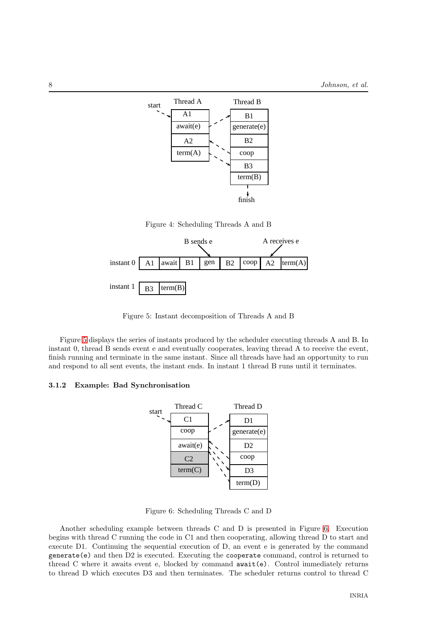

<span id="page-10-1"></span>Figure 4: Scheduling Threads A and B



<span id="page-10-2"></span>Figure 5: Instant decomposition of Threads A and B

Figure [5](#page-10-2) displays the series of instants produced by the scheduler executing threads A and B. In instant 0, thread B sends event e and eventually cooperates, leaving thread A to receive the event, finish running and terminate in the same instant. Since all threads have had an opportunity to run and respond to all sent events, the instant ends. In instant 1 thread B runs until it terminates.

#### <span id="page-10-0"></span>3.1.2 Example: Bad Synchronisation



<span id="page-10-3"></span>Figure 6: Scheduling Threads C and D

Another scheduling example between threads C and D is presented in Figure [6.](#page-10-3) Execution begins with thread C running the code in C1 and then cooperating, allowing thread D to start and execute D1. Continuing the sequential execution of D, an event e is generated by the command generate(e) and then D2 is executed. Executing the cooperate command, control is returned to thread C where it awaits event e, blocked by command await(e). Control immediately returns to thread D which executes D3 and then terminates. The scheduler returns control to thread C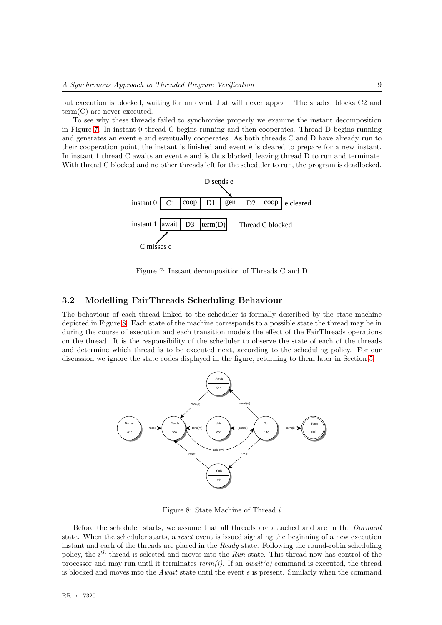but execution is blocked, waiting for an event that will never appear. The shaded blocks C2 and term(C) are never executed.

To see why these threads failed to synchronise properly we examine the instant decomposition in Figure [7.](#page-11-1) In instant 0 thread C begins running and then cooperates. Thread D begins running and generates an event e and eventually cooperates. As both threads C and D have already run to their cooperation point, the instant is finished and event e is cleared to prepare for a new instant. In instant 1 thread C awaits an event e and is thus blocked, leaving thread D to run and terminate. With thread C blocked and no other threads left for the scheduler to run, the program is deadlocked.



<span id="page-11-1"></span>Figure 7: Instant decomposition of Threads C and D

#### <span id="page-11-0"></span>3.2 Modelling FairThreads Scheduling Behaviour

The behaviour of each thread linked to the scheduler is formally described by the state machine depicted in Figure [8.](#page-11-2) Each state of the machine corresponds to a possible state the thread may be in during the course of execution and each transition models the effect of the FairThreads operations on the thread. It is the responsibility of the scheduler to observe the state of each of the threads and determine which thread is to be executed next, according to the scheduling policy. For our discussion we ignore the state codes displayed in the figure, returning to them later in Section [5.](#page-13-0)



<span id="page-11-2"></span>Figure 8: State Machine of Thread i

Before the scheduler starts, we assume that all threads are attached and are in the Dormant state. When the scheduler starts, a reset event is issued signaling the beginning of a new execution instant and each of the threads are placed in the Ready state. Following the round-robin scheduling policy, the  $i^{th}$  thread is selected and moves into the  $Run$  state. This thread now has control of the processor and may run until it terminates  $term(i)$ . If an *await(e)* command is executed, the thread is blocked and moves into the Await state until the event  $e$  is present. Similarly when the command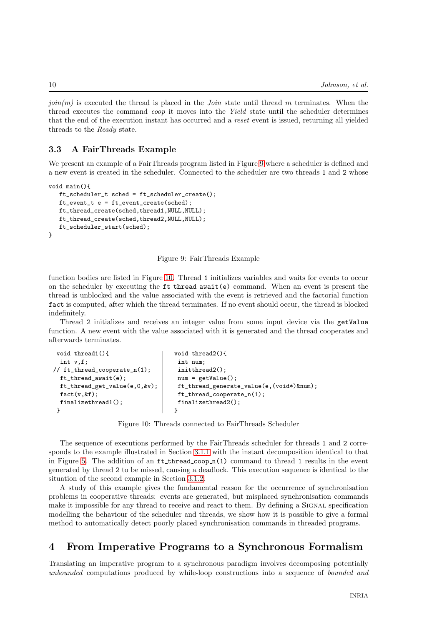$join(m)$  is executed the thread is placed in the *Join* state until thread m terminates. When the thread executes the command coop it moves into the Yield state until the scheduler determines that the end of the execution instant has occurred and a reset event is issued, returning all yielded threads to the Ready state.

#### <span id="page-12-0"></span>3.3 A FairThreads Example

We present an example of a FairThreads program listed in Figure [9](#page-12-2) where a scheduler is defined and a new event is created in the scheduler. Connected to the scheduler are two threads 1 and 2 whose

```
void main(){
  ft_scheduler_t sched = ft_scheduler_create();
  ft_event_t e = ft_event_create(sched);
  ft_thread_create(sched,thread1,NULL,NULL);
  ft_thread_create(sched,thread2,NULL,NULL);
  ft_scheduler_start(sched);
}
```
#### <span id="page-12-2"></span>Figure 9: FairThreads Example

function bodies are listed in Figure [10.](#page-12-3) Thread 1 initializes variables and waits for events to occur on the scheduler by executing the ft thread await(e) command. When an event is present the thread is unblocked and the value associated with the event is retrieved and the factorial function fact is computed, after which the thread terminates. If no event should occur, the thread is blocked indefinitely.

Thread 2 initializes and receives an integer value from some input device via the getValue function. A new event with the value associated with it is generated and the thread cooperates and afterwards terminates.

```
void thread1(){
 int v,f;
// ft_thread_cooperate_n(1);
 ft_thread_await(e);
 ft_thread_get_value(e,0,&v);
 fact(v, &);
 finalizethread1();
}
                                   void thread2(){
                                    int num;
                                    initthread2();
                                    num = getValue();
                                    ft_thread_generate_value(e,(void*)&num);
                                    ft_thread_cooperate_n(1);
                                    finalizethread2();
                                   }
```
<span id="page-12-3"></span>Figure 10: Threads connected to FairThreads Scheduler

The sequence of executions performed by the FairThreads scheduler for threads 1 and 2 corresponds to the example illustrated in Section [3.1.1](#page-9-1) with the instant decomposition identical to that in Figure [5.](#page-10-2) The addition of an  $ft\_thread\_coop_n(1)$  command to thread 1 results in the event generated by thread 2 to be missed, causing a deadlock. This execution sequence is identical to the situation of the second example in Section [3.1.2.](#page-10-0)

A study of this example gives the fundamental reason for the occurrence of synchronisation problems in cooperative threads: events are generated, but misplaced synchronisation commands make it impossible for any thread to receive and react to them. By defining a SIGNAL specification modelling the behaviour of the scheduler and threads, we show how it is possible to give a formal method to automatically detect poorly placed synchronisation commands in threaded programs.

## <span id="page-12-1"></span>4 From Imperative Programs to a Synchronous Formalism

Translating an imperative program to a synchronous paradigm involves decomposing potentially unbounded computations produced by while-loop constructions into a sequence of bounded and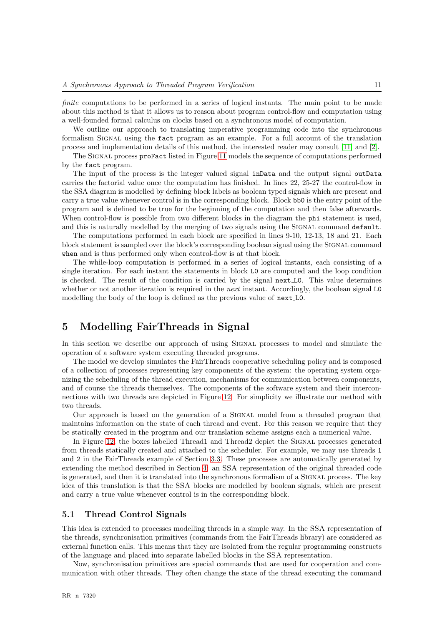finite computations to be performed in a series of logical instants. The main point to be made about this method is that it allows us to reason about program control-flow and computation using a well-founded formal calculus on clocks based on a synchronous model of computation.

We outline our approach to translating imperative programming code into the synchronous formalism SIGNAL using the fact program as an example. For a full account of the translation process and implementation details of this method, the interested reader may consult [\[11\]](#page-32-6) and [\[2\]](#page-32-7).

The SIGNAL process proFact listed in Figure [11](#page-14-0) models the sequence of computations performed by the fact program.

The input of the process is the integer valued signal inData and the output signal outData carries the factorial value once the computation has finished. In lines 22, 25-27 the control-flow in the SSA diagram is modelled by defining block labels as boolean typed signals which are present and carry a true value whenever control is in the corresponding block. Block bb0 is the entry point of the program and is defined to be true for the beginning of the computation and then false afterwards. When control-flow is possible from two different blocks in the diagram the **phi** statement is used, and this is naturally modelled by the merging of two signals using the SIGNAL command default.

The computations performed in each block are specified in lines 9-10, 12-13, 18 and 21. Each block statement is sampled over the block's corresponding boolean signal using the SIGNAL command when and is thus performed only when control-flow is at that block.

The while-loop computation is performed in a series of logical instants, each consisting of a single iteration. For each instant the statements in block L0 are computed and the loop condition is checked. The result of the condition is carried by the signal next L0. This value determines whether or not another iteration is required in the *next* instant. Accordingly, the boolean signal L0 modelling the body of the loop is defined as the previous value of next L0.

### <span id="page-13-0"></span>5 Modelling FairThreads in Signal

In this section we describe our approach of using SIGNAL processes to model and simulate the operation of a software system executing threaded programs.

The model we develop simulates the FairThreads cooperative scheduling policy and is composed of a collection of processes representing key components of the system: the operating system organizing the scheduling of the thread execution, mechanisms for communication between components, and of course the threads themselves. The components of the software system and their interconnections with two threads are depicted in Figure [12.](#page-14-1) For simplicity we illustrate our method with two threads.

Our approach is based on the generation of a Signal model from a threaded program that maintains information on the state of each thread and event. For this reason we require that they be statically created in the program and our translation scheme assigns each a numerical value.

In Figure [12,](#page-14-1) the boxes labelled Thread1 and Thread2 depict the SIGNAL processes generated from threads statically created and attached to the scheduler. For example, we may use threads 1 and 2 in the FairThreads example of Section [3.3.](#page-12-0) These processes are automatically generated by extending the method described in Section [4:](#page-12-1) an SSA representation of the original threaded code is generated, and then it is translated into the synchronous formalism of a SIGNAL process. The key idea of this translation is that the SSA blocks are modelled by boolean signals, which are present and carry a true value whenever control is in the corresponding block.

#### <span id="page-13-1"></span>5.1 Thread Control Signals

This idea is extended to processes modelling threads in a simple way. In the SSA representation of the threads, synchronisation primitives (commands from the FairThreads library) are considered as external function calls. This means that they are isolated from the regular programming constructs of the language and placed into separate labelled blocks in the SSA representation.

Now, synchronisation primitives are special commands that are used for cooperation and communication with other threads. They often change the state of the thread executing the command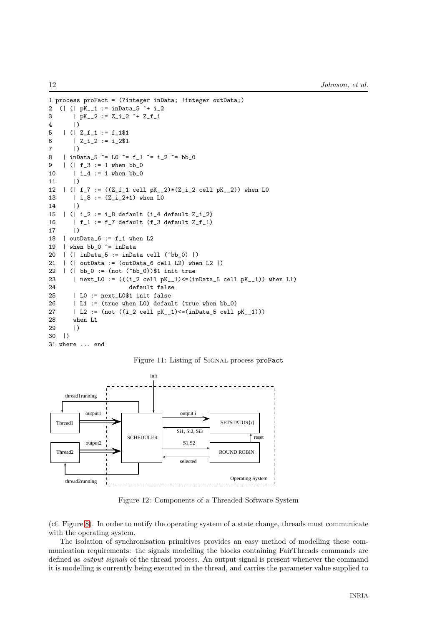```
1 process proFact = (?integer inData; !integer outData;)
2 (| (| pK__1 := inData_5 ^+ i_2
3 | pK_{-2} := Z_{12}^2 + Z_{11}^24 |)
5 \mid (\mid Z_{\_f_{\_1}} := f_{\_1}\6 | Z_i^i = i_2^i7 |)
8 | inData_5 ^= L0 ^= f_1 ^= i_2 ^= bb_0
9 | (| f_3 := 1 when bb_0
10 | i_{-}4 := 1 when bb_{-}011 |)
12 | (| f_7 := ((Z_f_1 \text{ cell } pK_2) * (Z_i_2 \text{ cell } pK_2)) when LO
13 | i_8 := (Z_i_2+1) when L0
14 |)
15 | (| i_2 := i_8 default (i_4 default Z_i_2)16 | f_1 := f_7 default (f_3 default Z_f_117 |)
18 | outData_6 := f_1 when L2
19 | when bb_0 \hat{ } = inData
20 | (| inData_5 := inData cell (^bb_0) |)
21 | (| outData := (outData_6 cell L2) when L2 |)
22 | (| bb_0 := (not (^bb_0))$1 init true
23 | next_L0 := (((i_2 \text{ cell } pK_1)^{\lt}=(inData_5 \text{ cell } pK_1)) when L1)
24 default false
25 | L0 := next_L0$1 init false
26 | L1 := (true when L0) default (true when bb_0)
27 | L2 := (not ((i_2 \text{ cell } pK_1)_\leq (inData_5 \text{ cell } pK_1)))
28 when L1
29 |)
30 |)
31 where ... end
```
<span id="page-14-0"></span>Figure 11: Listing of Signal process proFact



<span id="page-14-1"></span>Figure 12: Components of a Threaded Software System

(cf. Figure [8\)](#page-11-2). In order to notify the operating system of a state change, threads must communicate with the operating system.

The isolation of synchronisation primitives provides an easy method of modelling these communication requirements: the signals modelling the blocks containing FairThreads commands are defined as *output signals* of the thread process. An output signal is present whenever the command it is modelling is currently being executed in the thread, and carries the parameter value supplied to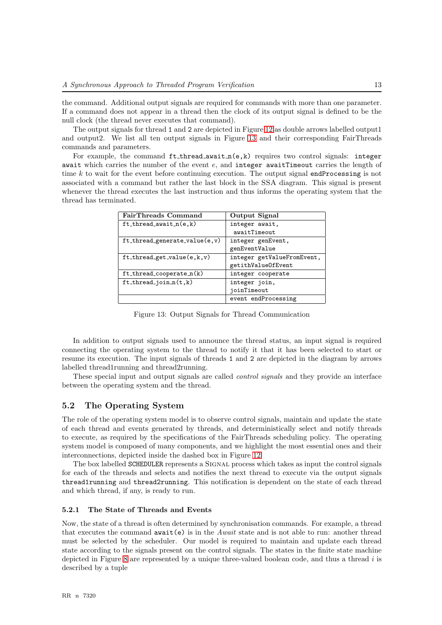the command. Additional output signals are required for commands with more than one parameter. If a command does not appear in a thread then the clock of its output signal is defined to be the null clock (the thread never executes that command).

The output signals for thread 1 and 2 are depicted in Figure [12](#page-14-1) as double arrows labelled output1 and output2. We list all ten output signals in Figure [13](#page-15-2) and their corresponding FairThreads commands and parameters.

For example, the command  $ft\_thread\_await_n(e, k)$  requires two control signals: integer await which carries the number of the event  $e$ , and integer awaitTimeout carries the length of time  $k$  to wait for the event before continuing execution. The output signal endProcessing is not associated with a command but rather the last block in the SSA diagram. This signal is present whenever the thread executes the last instruction and thus informs the operating system that the thread has terminated.

| FairThreads Command                       | Output Signal              |
|-------------------------------------------|----------------------------|
| $ft\_thread_await_n(e, k)$                | integer await,             |
|                                           | awaitTimeout               |
| $ft\_thread\_generate\_value(e, v)$       | integer genEvent,          |
|                                           | genEventValue              |
| $ft_{\text{thread\_get\_value}(e, k, v)}$ | integer getValueFromEvent, |
|                                           | getithValueOfEvent         |
| ft_thread_cooperate_n(k)                  | integer cooperate          |
| $ft_thread\_join_n(t, k)$                 | integer join,              |
|                                           | joinTimeout                |
|                                           | event endProcessing        |

<span id="page-15-2"></span>Figure 13: Output Signals for Thread Communication

In addition to output signals used to announce the thread status, an input signal is required connecting the operating system to the thread to notify it that it has been selected to start or resume its execution. The input signals of threads 1 and 2 are depicted in the diagram by arrows labelled thread1running and thread2running.

These special input and output signals are called control signals and they provide an interface between the operating system and the thread.

#### <span id="page-15-0"></span>5.2 The Operating System

The role of the operating system model is to observe control signals, maintain and update the state of each thread and events generated by threads, and deterministically select and notify threads to execute, as required by the specifications of the FairThreads scheduling policy. The operating system model is composed of many components, and we highlight the most essential ones and their interconnections, depicted inside the dashed box in Figure [12.](#page-14-1)

The box labelled **SCHEDULER** represents a SIGNAL process which takes as input the control signals for each of the threads and selects and notifies the next thread to execute via the output signals thread1running and thread2running. This notification is dependent on the state of each thread and which thread, if any, is ready to run.

#### <span id="page-15-1"></span>5.2.1 The State of Threads and Events

Now, the state of a thread is often determined by synchronisation commands. For example, a thread that executes the command  $\alpha$ wait $(e)$  is in the Await state and is not able to run: another thread must be selected by the scheduler. Our model is required to maintain and update each thread state according to the signals present on the control signals. The states in the finite state machine depicted in Figure [8](#page-11-2) are represented by a unique three-valued boolean code, and thus a thread i is described by a tuple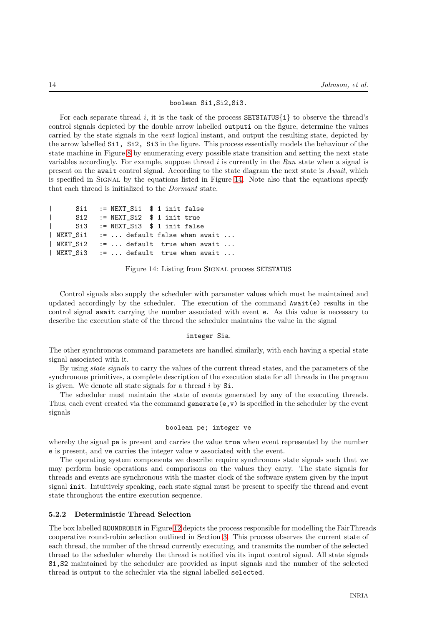#### boolean Si1,Si2,Si3.

For each separate thread i, it is the task of the process  $SETSTATUS\{i\}$  to observe the thread's control signals depicted by the double arrow labelled outputi on the figure, determine the values carried by the state signals in the *next* logical instant, and output the resulting state, depicted by the arrow labelled Si1, Si2, Si3 in the figure. This process essentially models the behaviour of the state machine in Figure [8](#page-11-2) by enumerating every possible state transition and setting the next state variables accordingly. For example, suppose thread  $i$  is currently in the Run state when a signal is present on the await control signal. According to the state diagram the next state is Await, which is specified in SIGNAL by the equations listed in Figure [14.](#page-16-1) Note also that the equations specify that each thread is initialized to the Dormant state.

|  | $\vert$ Si1 := NEXT_Si1 $\ $1$ init false |  |
|--|-------------------------------------------|--|
|  | $\vert$ Si2 := NEXT_Si2 $\ $1$ init true  |  |
|  | Si3 := NEXT Si3 \$ 1 init false           |  |
|  | $ $ NEXT_Si1 :=  default false when await |  |
|  | $ $ NEXT_Si2 :=  default true when await  |  |
|  | $ $ NEXT_Si3 :=  default true when await  |  |
|  |                                           |  |

<span id="page-16-1"></span>Figure 14: Listing from Signal process SETSTATUS

Control signals also supply the scheduler with parameter values which must be maintained and updated accordingly by the scheduler. The execution of the command Await(e) results in the control signal await carrying the number associated with event e. As this value is necessary to describe the execution state of the thread the scheduler maintains the value in the signal

#### integer Sia.

The other synchronous command parameters are handled similarly, with each having a special state signal associated with it.

By using state signals to carry the values of the current thread states, and the parameters of the synchronous primitives, a complete description of the execution state for all threads in the program is given. We denote all state signals for a thread  $i$  by  $Si$ .

The scheduler must maintain the state of events generated by any of the executing threads. Thus, each event created via the command generate  $(e, v)$  is specified in the scheduler by the event signals

#### boolean pe; integer ve

whereby the signal pe is present and carries the value true when event represented by the number e is present, and ve carries the integer value v associated with the event.

The operating system components we describe require synchronous state signals such that we may perform basic operations and comparisons on the values they carry. The state signals for threads and events are synchronous with the master clock of the software system given by the input signal init. Intuitively speaking, each state signal must be present to specify the thread and event state throughout the entire execution sequence.

#### <span id="page-16-0"></span>5.2.2 Deterministic Thread Selection

The box labelled ROUNDROBIN in Figure [12](#page-14-1) depicts the process responsible for modelling the FairThreads cooperative round-robin selection outlined in Section [3.](#page-8-1) This process observes the current state of each thread, the number of the thread currently executing, and transmits the number of the selected thread to the scheduler whereby the thread is notified via its input control signal. All state signals S1,S2 maintained by the scheduler are provided as input signals and the number of the selected thread is output to the scheduler via the signal labelled selected.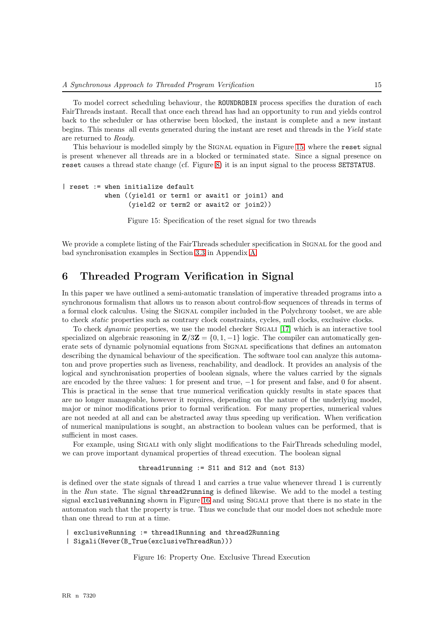To model correct scheduling behaviour, the ROUNDROBIN process specifies the duration of each FairThreads instant. Recall that once each thread has had an opportunity to run and yields control back to the scheduler or has otherwise been blocked, the instant is complete and a new instant begins. This means all events generated during the instant are reset and threads in the Yield state are returned to Ready.

This behaviour is modelled simply by the Signal equation in Figure [15,](#page-17-1) where the reset signal is present whenever all threads are in a blocked or terminated state. Since a signal presence on reset causes a thread state change (cf. Figure [8\)](#page-11-2) it is an input signal to the process SETSTATUS.

```
| reset := when initialize default
           when ((yield1 or term1 or await1 or join1) and
                 (yield2 or term2 or await2 or join2))
```
<span id="page-17-1"></span>Figure 15: Specification of the reset signal for two threads

We provide a complete listing of the FairThreads scheduler specification in SIGNAL for the good and bad synchronisation examples in Section [3.3](#page-12-0) in Appendix [A.](#page-19-0)

## <span id="page-17-0"></span>6 Threaded Program Verification in Signal

In this paper we have outlined a semi-automatic translation of imperative threaded programs into a synchronous formalism that allows us to reason about control-flow sequences of threads in terms of a formal clock calculus. Using the SIGNAL compiler included in the Polychrony toolset, we are able to check static properties such as contrary clock constraints, cycles, null clocks, exclusive clocks.

To check *dynamic* properties, we use the model checker SIGALI  $[17]$  which is an interactive tool specialized on algebraic reasoning in  $\mathbb{Z}/3\mathbb{Z} = \{0, 1, -1\}$  logic. The compiler can automatically generate sets of dynamic polynomial equations from SIGNAL specifications that defines an automaton describing the dynamical behaviour of the specification. The software tool can analyze this automaton and prove properties such as liveness, reachability, and deadlock. It provides an analysis of the logical and synchronisation properties of boolean signals, where the values carried by the signals are encoded by the three values: 1 for present and true, −1 for present and false, and 0 for absent. This is practical in the sense that true numerical verification quickly results in state spaces that are no longer manageable, however it requires, depending on the nature of the underlying model, major or minor modifications prior to formal verification. For many properties, numerical values are not needed at all and can be abstracted away thus speeding up verification. When verification of numerical manipulations is sought, an abstraction to boolean values can be performed, that is sufficient in most cases.

For example, using SIGALI with only slight modifications to the FairThreads scheduling model, we can prove important dynamical properties of thread execution. The boolean signal

#### thread1running := S11 and S12 and (not S13)

is defined over the state signals of thread 1 and carries a true value whenever thread 1 is currently in the Run state. The signal thread2running is defined likewise. We add to the model a testing signal exclusiveRunning shown in Figure [16](#page-17-2) and using SIGALI prove that there is no state in the automaton such that the property is true. Thus we conclude that our model does not schedule more than one thread to run at a time.

| exclusiveRunning := thread1Running and thread2Running

| Sigali(Never(B\_True(exclusiveThreadRun)))

<span id="page-17-2"></span>Figure 16: Property One. Exclusive Thread Execution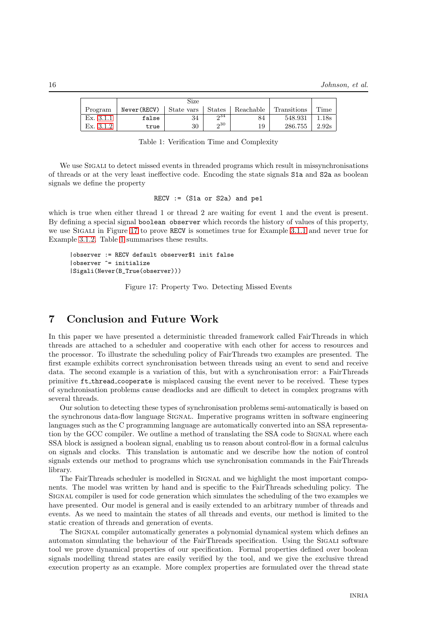|             | Size        |            |          |           |             |       |
|-------------|-------------|------------|----------|-----------|-------------|-------|
| Program     | Never(RECV) | State vars | . States | Reachable | Transitions | Time  |
| Ex. 3.1.1   | false       | 34         | ი34      | 84        | 548.931     | 18s   |
| Ex. $3.1.2$ | true        | 30         | 0.30     | 19        | 286.755     | 2.92s |

<span id="page-18-2"></span>Table 1: Verification Time and Complexity

We use SIGALI to detect missed events in threaded programs which result in missynchronisations of threads or at the very least ineffective code. Encoding the state signals S1a and S2a as boolean signals we define the property

RECV  $:=$  (S1a or S2a) and pe1

which is true when either thread 1 or thread 2 are waiting for event 1 and the event is present. By defining a special signal boolean observer which records the history of values of this property, we use SIGALI in Figure [17](#page-18-1) to prove RECV is sometimes true for Example [3.1.1](#page-9-1) and never true for Example [3.1.2.](#page-10-0) Table [1](#page-18-2) summarises these results.

```
|observer := RECV default observer$1 init false
|observer ^= initialize
|Sigali(Never(B_True(observer)))
```
<span id="page-18-1"></span>Figure 17: Property Two. Detecting Missed Events

## <span id="page-18-0"></span>7 Conclusion and Future Work

In this paper we have presented a deterministic threaded framework called FairThreads in which threads are attached to a scheduler and cooperative with each other for access to resources and the processor. To illustrate the scheduling policy of FairThreads two examples are presented. The first example exhibits correct synchronisation between threads using an event to send and receive data. The second example is a variation of this, but with a synchronisation error: a FairThreads primitive ft thread cooperate is misplaced causing the event never to be received. These types of synchronisation problems cause deadlocks and are difficult to detect in complex programs with several threads.

Our solution to detecting these types of synchronisation problems semi-automatically is based on the synchronous data-flow language Signal. Imperative programs written in software engineering languages such as the C programming language are automatically converted into an SSA representation by the GCC compiler. We outline a method of translating the SSA code to SIGNAL where each SSA block is assigned a boolean signal, enabling us to reason about control-flow in a formal calculus on signals and clocks. This translation is automatic and we describe how the notion of control signals extends our method to programs which use synchronisation commands in the FairThreads library.

The FairThreads scheduler is modelled in SIGNAL and we highlight the most important components. The model was written by hand and is specific to the FairThreads scheduling policy. The Signal compiler is used for code generation which simulates the scheduling of the two examples we have presented. Our model is general and is easily extended to an arbitrary number of threads and events. As we need to maintain the states of all threads and events, our method is limited to the static creation of threads and generation of events.

The SIGNAL compiler automatically generates a polynomial dynamical system which defines an automaton simulating the behaviour of the FairThreads specification. Using the SIGALI software tool we prove dynamical properties of our specification. Formal properties defined over boolean signals modelling thread states are easily verified by the tool, and we give the exclusive thread execution property as an example. More complex properties are formulated over the thread state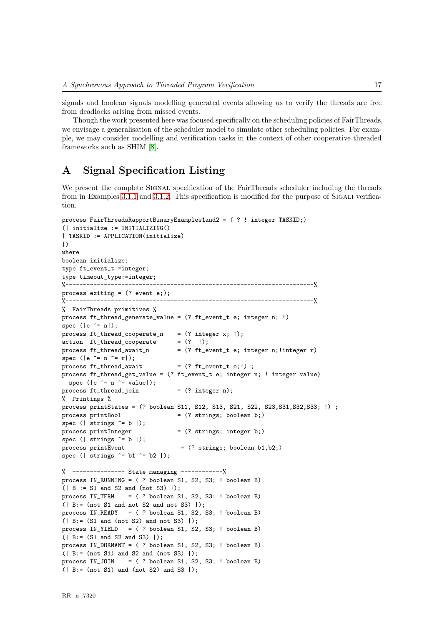signals and boolean signals modelling generated events allowing us to verify the threads are free from deadlocks arising from missed events.

Though the work presented here was focused specifically on the scheduling policies of FairThreads, we envisage a generalisation of the scheduler model to simulate other scheduling policies. For example, we may consider modelling and verification tasks in the context of other cooperative threaded frameworks such as SHIM [\[8\]](#page-32-8).

## <span id="page-19-0"></span>A Signal Specification Listing

We present the complete SIGNAL specification of the FairThreads scheduler including the threads from in Examples [3.1.1](#page-9-1) and [3.1.2.](#page-10-0) This specification is modified for the purpose of SIGALI verification.

```
process FairThreadsRapportBinaryExamples1and2 = ( ? ! integer TASKID;)
(| initialize := INITIALIZING()
| TASKID := APPLICATION(initialize)
|)
where
boolean initialize;
type ft event t:=integer;
type timeout_type:=integer;
%-----------------------------------------------------------------------%
process exiting = (? event e;);
             %-----------------------------------------------------------------------%
% FairThreads primitives %
process ft_thread_generate_value = (? ft_event_t e; integer n; !)
spec (|e^>= n|);
process ft_thread_cooperate_n = (? integer x; !);action ft\_thread\_cooperate = (? !);
process ft_thread_await_n = (? ft_event_t e; integer n;!integer r)
spec (|e^ == n^ == r|);
process ft\_thread\_await = (? ft\_event_t e;!) ;
process ft_thread_get_value = (? ft_event_t e; integer n; ! integer value)
 spec (|e^>= n^* value);
process ft\_thread\_join = (? integer n);
% Printings %
process printStates = (? boolean S11, S12, S13, S21, S22, S23,S31,S32,S33; !) ;
process printBool = (? strings; boolean b;)
spec (| strings \hat{=} b |);
process printInteger = (? strings; integer b;)
spec (\vert strings \hat{=} b \vert);
process printEvent = (? strings; boolean b1, b2;)
spec (| strings \hat{=} b1 \hat{=} b2 |);
% --------------- State managing ------------%
process IN_RUNNING = ( ? boolean S1, S2, S3; ! boolean B)
(| B := S1 and S2 and (not S3) |);
process IN_TERM = ( ? boolean S1, S2, S3; ! boolean B)
(| B:= (not S1 and not S2 and not S3) |);process IN_READY = ( ? boolean S1, S2, S3; ! boolean B)
(| B:= (S1 \text{ and } (not S2) \text{ and } not S3) |);process IN_YIELD = ( ? boolean S1, S2, S3; ! boolean B)
(| B:= (S1 and S2 and S3) |);
process IN_DORMANT = ( ? boolean S1, S2, S3; ! boolean B)
(| B := (not S1) and S2 and (not S3) |);process IN_JOIN = ( ? boolean S1, S2, S3; ! boolean B)
(| B:= (not S1) and (not S2) and S3 |);
```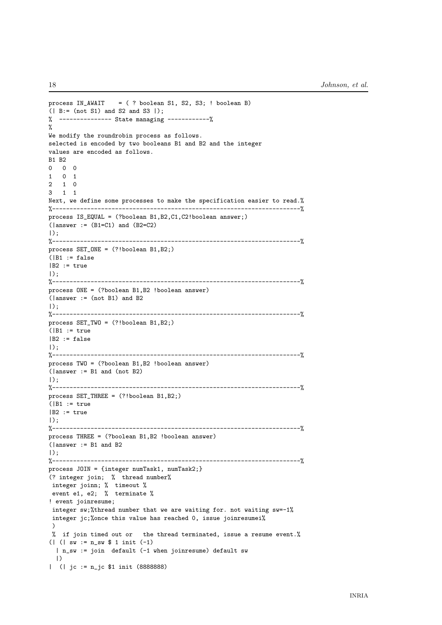```
process IN_AWAIT = ( ? boolean S1, S2, S3; ! boolean B)
(| B:= (not S1) and S2 and S3 |);
% --------------- State managing ------------%
%
We modify the roundrobin process as follows.
selected is encoded by two booleans B1 and B2 and the integer
values are encoded as follows.
B1 B2
0 0 0
1 0 1
2 1 0
3 1 1
Next, we define some processes to make the specification easier to read.%
%-----------------------------------------------------------------------%
process IS_EQUAL = (?boolean B1,B2,C1,C2!boolean answer;)
(lanswer := (B1=C1) and (B2=C2)|);
%-----------------------------------------------------------------------%
process SET_ONE = (?!boolean B1,B2;)
(|B1| := false|B2| := true|);
%-----------------------------------------------------------------------%
process ONE = (?boolean B1,B2 !boolean answer)
(lanswer := (not B1) and B2)|);
%-----------------------------------------------------------------------%
process SET_TWO = (?!boolean B1,B2;)
(|B1| := true|B2 := false
|);
%-----------------------------------------------------------------------%
process TWO = (?boolean B1,B2 !boolean answer)
(|answer := B1 and (not B2)
|);
%-----------------------------------------------------------------------%
process SET_THREE = (?!boolean B1,B2;)
(|B1| := true|B2| := true|);
%-----------------------------------------------------------------------%
process THREE = (?boolean B1,B2 !boolean answer)
(|answer := B1 and B2
| \rangle.
%-----------------------------------------------------------------------%
process JOIN = {integer numTask1, numTask2;}
(? integer join; % thread number%
integer joinn; % timeout %
event e1, e2; % terminate %
! event joinresume;
 integer sw;%thread number that we are waiting for. not waiting sw=-1%
 integer jc;%once this value has reached 0, issue joinresumei%
 \lambda% if join timed out or the thread terminated, issue a resume event.%
(| (| sw := n_sw $ 1 init (-1)
 | n_sw := join default (-1 when joinresume) default sw
  |)
| (| jc := n_jc $1 init (8888888)
```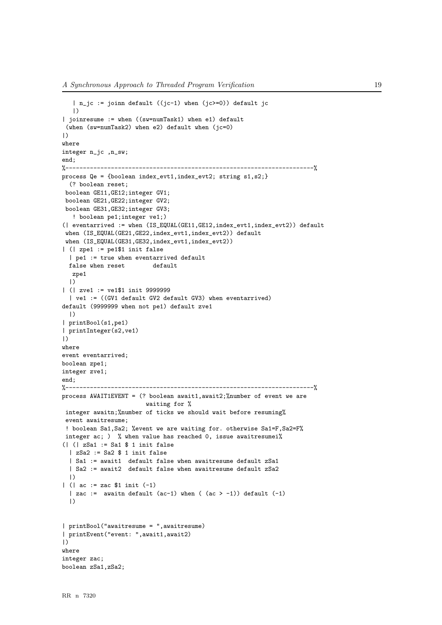```
| n_jc := joinn default ((jc-1) when (jc>=0)) default jc
   |)
| joinresume := when ((sw=numTask1) when e1) default
 (when (sw=numTask2) when e2) default when (jc=0)
|)where
integer n_jc ,n_sw;
end;
%-----------------------------------------------------------------------%
process Qe = {boolean index_evt1,index_evt2; string s1,s2;}
  (? boolean reset;
 boolean GE11,GE12;integer GV1;
 boolean GE21,GE22;integer GV2;
 boolean GE31,GE32;integer GV3;
   ! boolean pe1;integer ve1;)
(| eventarrived := when (IS_EQUAL(GE11,GE12,index_evt1,index_evt2)) default
 when (IS_EQUAL(GE21,GE22,index_evt1,index_evt2)) default
 when (IS_EQUAL(GE31,GE32,index_evt1,index_evt2))
| (| zpe1 := pe1$1 init false
  | pe1 := true when eventarrived default
  false when reset default
  zpe1
  |)| (| zve1 := ve1$1 init 9999999
  | ve1 := ((GV1 default GV2 default GV3) when eventarrived)
default (9999999 when not pe1) default zve1
  |)
| printBool(s1,pe1)
| printInteger(s2,ve1)
|)
where
event eventarrived;
boolean zpe1;
integer zve1;
end;
%-----------------------------------------------------------------------%
process AWAIT1EVENT = (?) boolean await1, await2; %number of event we are
                        waiting for %
 integer awaitn;%number of ticks we should wait before resuming%
 event awaitresume;
 ! boolean Sa1, Sa2; % event we are waiting for. otherwise Sa1=F, Sa2=F%
 integer ac; ) % when value has reached 0, issue awaitresumei%
(| (| zSa1 := Sa1 $ 1 init false
  | zSa2 := Sa2 $ 1 init false
  | Sa1 := await1 default false when awaitresume default zSa1
  | Sa2 := await2 default false when awaitresume default zSa2
  |)
| (| ac := zac $1 init (-1)
  | zac := awaitn default (ac-1) when ((ac > -1)) default (-1)|)| printBool("awaitresume = ",awaitresume)
| printEvent("event: ",await1,await2)
|)
where
integer zac;
boolean zSa1,zSa2;
```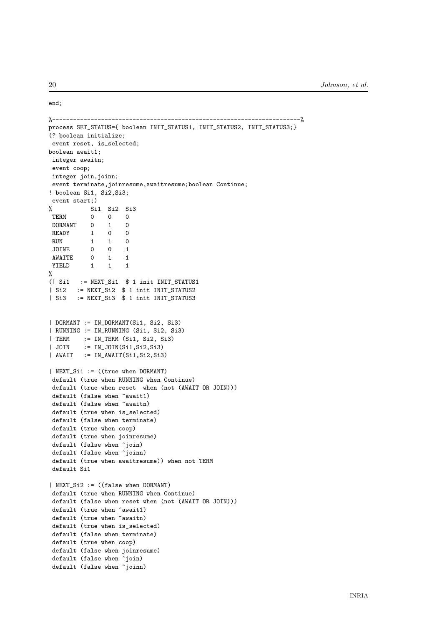```
%-----------------------------------------------------------------------%
process SET_STATUS={ boolean INIT_STATUS1, INIT_STATUS2, INIT_STATUS3;}
(? boolean initialize;
event reset, is_selected;
boolean await1;
integer awaitn;
event coop;
integer join, joinn;
event terminate,joinresume,awaitresume;boolean Continue;
! boolean Si1, Si2,Si3;
event start;)
% Si1 Si2 Si3
TERM 0 0 0
DORMANT 0 1 0
READY 1 0 0
RUN 1 1 0<br>JOINE 0 0 1
JOINE 0 0 1
AWAITE 0 1 1
YIELD 1 1 1
%
(| Si1 := NEXT_Si1 $ 1 init INIT_STATUS1
| Si2 := NEXT_Si2 $ 1 init INIT_STATUS2
| Si3 := NEXT_Si3 $ 1 init INIT_STATUS3
| DORMANT := IN_DORMANT(Si1, Si2, Si3)
| RUNNING := IN_RUNNING (Si1, Si2, Si3)
| TERM := IN_TERM (Si1, Si2, Si3)
| JOIN := IN_JOIN(Si1,Si2,Si3)
| AWAIT := IN_AWAIT(Si1, Si2, Si3)
| NEXT_Si1 := ((true when DORMANT)
default (true when RUNNING when Continue)
default (true when reset when (not (AWAIT OR JOIN)))
default (false when \hat{a}wait1)
default (false when \text{`awaitn})
default (true when is_selected)
default (false when terminate)
default (true when coop)
default (true when joinresume)
default (false when \hat{}}join)
default (false when \frac{5}{10}ioinn)
default (true when awaitresume)) when not TERM
default Si1
| NEXT_Si2 := ((false when DORMANT)
default (true when RUNNING when Continue)
default (false when reset when (not (AWAIT OR JOIN)))
default (true when ^await1)
default (true when ^awaitn)
default (true when is_selected)
default (false when terminate)
default (true when coop)
default (false when joinresume)
default (false when ^join)
default (false when ^joinn)
```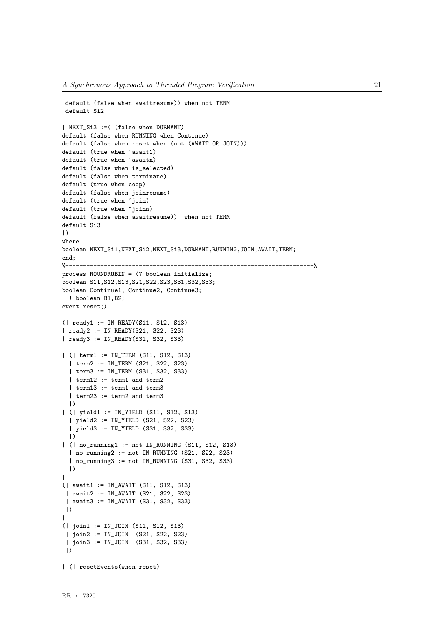```
default (false when awaitresume)) when not TERM
 default Si2
| NEXT_Si3 :=( (false when DORMANT)
default (false when RUNNING when Continue)
default (false when reset when (not (AWAIT OR JOIN)))
default (true when ^await1)
default (true when \hat{a}waitn)
default (false when is_selected)
default (false when terminate)
default (true when coop)
default (false when joinresume)
default (true when \hat{}}join)
default (true when \hat{}}joinn)
default (false when awaitresume)) when not TERM
default Si3
|)
where
boolean NEXT_Si1,NEXT_Si2,NEXT_Si3,DORMANT,RUNNING,JOIN,AWAIT,TERM;
end;
%-----------------------------------------------------------------------%
process ROUNDROBIN = (? boolean initialize;
boolean S11,S12,S13,S21,S22,S23,S31,S32,S33;
boolean Continue1, Continue2, Continue3;
 ! boolean B1,B2;
event reset;)
(| ready1 := IN_READY(S11, S12, S13)
| ready2 := IN_READY(S21, S22, S23)
| ready3 := IN_READY(S31, S32, S33)
| (| term1 := IN_TERM (S11, S12, S13)
  | term2 := IN_TERM (S21, S22, S23)
  | term3 := IN_TERM (S31, S32, S33)
  | term12 := term1 and term2
  | term13 := term1 and term3
  | term23 := term2 and term3
  |)
| (| yield1 := IN_YIELD (S11, S12, S13)
  | yield2 := IN_YIELD (S21, S22, S23)
  | yield3 := IN_YIELD (S31, S32, S33)
  |)| (| no_running1 := not IN_RUNNING (S11, S12, S13)
  | no_running2 := not IN_RUNNING (S21, S22, S23)
  | no_running3 := not IN_RUNNING (S31, S32, S33)
  |)
|
(| await1 := IN_AWAIT (S11, S12, S13)
 | await2 := IN_AWAIT (S21, S22, S23)
 | await3 := IN_AWAIT (S31, S32, S33)
|)
\blacksquare(| join1 := IN_JOIN (S11, S12, S13)
 | join2 := IN_JOIN (S21, S22, S23)
 | join3 := IN_JOIN (S31, S32, S33)
 |)
| (| resetEvents(when reset)
```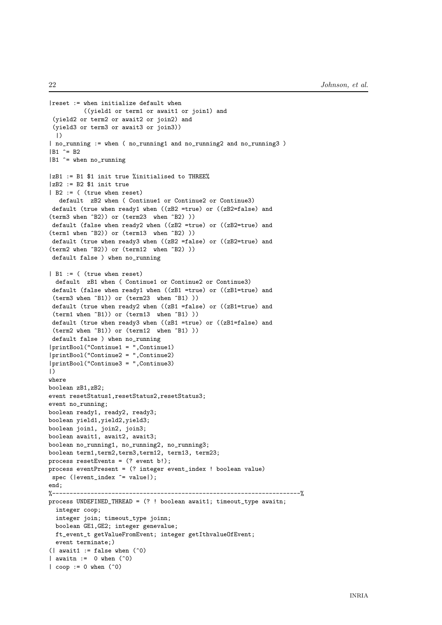```
|reset := when initialize default when
          ((yield1 or term1 or await1 or join1) and
 (yield2 or term2 or await2 or join2) and
 (yield3 or term3 or await3 or join3))
 |)| no_running := when ( no_running1 and no_running2 and no_running3 )
|B1 ^= B2
|B1 \rangle = when no_running
|zB1 := B1 $1 init true %initialised to THREE%
|zB2 := B2 $1 init true
| B2 := ( (true when reset)
   default zB2 when ( Continue1 or Continue2 or Continue3)
 default (true when ready1 when ((zB2 =true) or ((zB2=false) and
(term3 when ^B2)) or (term23 when ^B2) ))
 default (false when ready2 when ((zB2 =true) or ((zB2=true) and
(term1 when ^B2)) or (term13 when ^B2) ))
 default (true when ready3 when ((zB2 =false) or ((zB2=true) and
(term2 when ^B2)) or (term12 when ^B2) ))
 default false ) when no_running
| B1 := ( (true when reset)
 default zB1 when ( Continue1 or Continue2 or Continue3)
 default (false when ready1 when ((zB1 =true) or ((zB1=true) and
 (term3 when ^B1)) or (term23 when ^B1) ))
 default (true when ready2 when ((zB1 =false) or ((zB1=true) and
 (term1 when ^B1)) or (term13 when ^B1) ))
 default (true when ready3 when ((zB1 = true) or ((zB1 = false) and
 (term2 when ^B1)) or (term12 when ^B1) ))
 default false ) when no_running
|printBool("Continue1 = ",Continue1)
|printBool("Continue2 = ",Continue2)
|printBool("Continue3 = ",Continue3)
|)
where
boolean zB1,zB2;
event resetStatus1,resetStatus2,resetStatus3;
event no_running;
boolean ready1, ready2, ready3;
boolean yield1,yield2,yield3;
boolean join1, join2, join3;
boolean await1, await2, await3;
boolean no_running1, no_running2, no_running3;
boolean term1,term2,term3,term12, term13, term23;
process resetEvents = (? event b!);
process eventPresent = (? integer event_index ! boolean value)
 spec (|event_index ^= value|);
end;
%-----------------------------------------------------------------------%
process UNDEFINED_THREAD = (? ! boolean await1; timeout_type awaitn;
  integer coop;
  integer join; timeout_type joinn;
  boolean GE1,GE2; integer genevalue;
  ft_event_t getValueFromEvent; integer getIthvalueOfEvent;
  event terminate;)
(| await1 := false when (°0)| awaitn := 0 when (°0)\vert coop := 0 when (°0)
```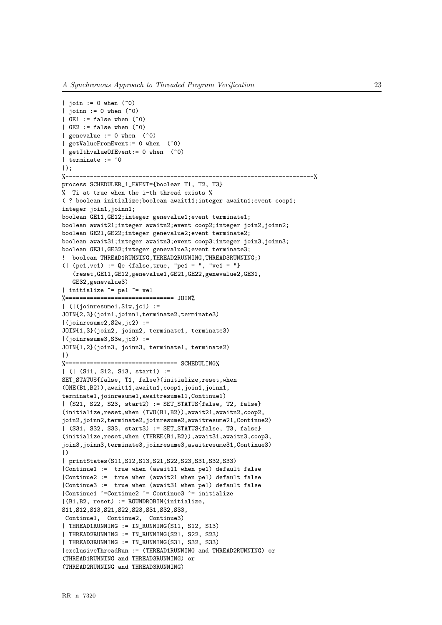```
| join := 0 when (°0)| joinn := 0 when (°0)| GE1 := false when (°0)| GE2 := false when (°0)| genevalue := 0 when (°0)| getValueFromEvent:= 0 when (^0)
| getIthvalueOfEvent:= 0 when (^0)
| terminate := ^{\circ}0|);
%-----------------------------------------------------------------------%
process SCHEDULER_1_EVENT={boolean T1, T2, T3}
% Ti at true when the i-th thread exists %
( ? boolean initialize;boolean await11;integer awaitn1;event coop1;
integer join1,joinn1;
boolean GE11,GE12;integer genevalue1;event terminate1;
boolean await21;integer awaitn2;event coop2;integer join2,joinn2;
boolean GE21,GE22;integer genevalue2;event terminate2;
boolean await31;integer awaitn3;event coop3;integer join3,joinn3;
boolean GE31,GE32;integer genevalue3;event terminate3;
! boolean THREAD1RUNNING, THREAD2RUNNING, THREAD3RUNNING;)
(| (pet,vel) := Qe {false, true, "pel = ", "vel = "}(reset,GE11,GE12,genevalue1,GE21,GE22,genevalue2,GE31,
   GE32,genevalue3)
| initialize ^= pe1 ^= ve1
%=============================== JOIN%
| (|(joinresume1, S1w, jc1) :=
JOIN{2,3}(join1,joinn1,terminate2,terminate3)
|(joinresume2,S2w,jc2) :=
JOIN{1,3}(join2, joinn2, terminate1, terminate3)
|(joinresume3,S3w,jc3) :=
JOIN{1,2}(join3, joinn3, terminate1, terminate2)
|)
%================================ SCHEDULING%
| (| (S11, S12, S13, start1) :=
SET_STATUS{false, T1, false}(initialize,reset,when
(ONE(B1,B2)),await11,awaitn1,coop1,join1,joinn1,
terminate1,joinresume1,awaitresume11,Continue1)
| (S21, S22, S23, start2) := SET_STATUS{false, T2, false}
(initialize,reset,when (TWO(B1,B2)),await21,awaitn2,coop2,
join2,joinn2,terminate2,joinresume2,awaitresume21,Continue2)
| (S31, S32, S33, start3) := SET_STATUS{false, T3, false}
(initialize,reset,when (THREE(B1,B2)),await31,awaitn3,coop3,
join3,joinn3,terminate3,joinresume3,awaitresume31,Continue3)
|)| printStates(S11,S12,S13,S21,S22,S23,S31,S32,S33)
|Continue1 := true when (await11 when pe1) default false
|Continue2 := true when (await21 when pe1) default false
|Continue3 := true when (await31 when pe1) default false
|Continue1 ^=Continue2 ^= Continue3 ^= initialize
|(B1,B2, reset) := ROUNDROBIN(initialize,
S11, S12, S13, S21, S22, S23, S31, S32, S33,
Continue1, Continue2, Continue3)
| THREAD1RUNNING := IN_RUNNING(S11, S12, S13)
| THREAD2RUNNING := IN_RUNNING(S21, S22, S23)
| THREAD3RUNNING := IN_RUNNING(S31, S32, S33)
|exclusiveThreadRun := (THREAD1RUNNING and THREAD2RUNNING) or
(THREAD1RUNNING and THREAD3RUNNING) or
(THREAD2RUNNING and THREAD3RUNNING)
```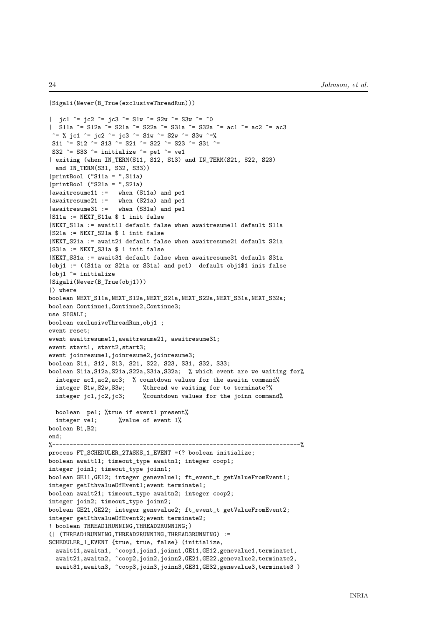```
|Sigali(Never(B_True(exclusiveThreadRun)))
| jc1 ^= jc2 ^= jc3 ^= S1w ^= S2w ^= S3w ^= ^0
| S11a ^= S12a ^= S21a ^= S22a ^= S31a ^= S32a ^= ac1 ^= ac2 ^= ac3
 ^= % jc1 ^= jc2 ^= jc3 ^= S1w ^= S2w ^= S3w ^=%
S11 ^= S12 ^= S13 ^= S21 ^= S22 ^= S23 ^= S31 ^=
S32 \hat{ } = S33 \hat{ } = initialize \hat{ } = pe1 \hat{ } = ve1
| exiting (when IN_TERM(S11, S12, S13) and IN_TERM(S21, S22, S23)
 and IN_TERM(S31, S32, S33))
|printBool ("S11a = ",S11a)
|printBool ("S21a = ",S21a)
|awaitresume11 := when (S11a) and pe1
|awaitresume21 := when (S21a) and pe1
|awaitresume31 := when (S31a) and pe1
|S11a := NEXT_S11a $ 1 init false
|NEXT_S11a := await11 default false when awaitresume11 default S11a
|S21a := NEXT_S21a $ 1 init false
|NEXT_S21a := await21 default false when awaitresume21 default S21a
|S31a := NEXT_S31a $ 1 init false
|NEXT_S31a := await31 default false when awaitresume31 default S31a
|obj1 := ((S11a or S21a or S31a) and pe1) default obj1$1 init false
|obj1 ^= initialize
|Sigali(Never(B_True(obj1)))
|) where
boolean NEXT_S11a,NEXT_S12a,NEXT_S21a,NEXT_S22a,NEXT_S31a,NEXT_S32a;
boolean Continue1,Continue2,Continue3;
use SIGALI;
boolean exclusiveThreadRun,obj1 ;
event reset;
event awaitresume11,awaitresume21, awaitresume31;
event start1, start2,start3;
event joinresume1,joinresume2,joinresume3;
boolean S11, S12, S13, S21, S22, S23, S31, S32, S33;
boolean S11a,S12a,S21a,S22a,S31a,S32a; % which event are we waiting for%
 integer ac1,ac2,ac3; % countdown values for the awaitn command%
 integer S1w,S2w,S3w; %thread we waiting for to terminate?%
 integer jc1,jc2,jc3; %countdown values for the joinn command%
 boolean pe1; %true if event1 present%
 integer ve1; %value of event 1%
boolean B1,B2;
end;
%-----------------------------------------------------------------------%
process FT_SCHEDULER_2TASKS_1_EVENT =(? boolean initialize;
boolean await11; timeout_type awaitn1; integer coop1;
integer join1; timeout_type joinn1;
boolean GE11,GE12; integer genevalue1; ft_event_t getValueFromEvent1;
integer getIthvalueOfEvent1;event terminate1;
boolean await21; timeout_type awaitn2; integer coop2;
integer join2; timeout_type joinn2;
boolean GE21,GE22; integer genevalue2; ft_event_t getValueFromEvent2;
integer getIthvalueOfEvent2;event terminate2;
! boolean THREAD1RUNNING,THREAD2RUNNING;)
(| (THREAD1RUNNING,THREAD2RUNNING,THREAD3RUNNING) :=
SCHEDULER_1_EVENT {true, true, false} (initialize,
 await11,awaitn1, ^coop1,join1,joinn1,GE11,GE12,genevalue1,terminate1,
 await21,awaitn2, ^coop2,join2,joinn2,GE21,GE22,genevalue2,terminate2,
 await31,awaitn3, ^coop3,join3,joinn3,GE31,GE32,genevalue3,terminate3)
```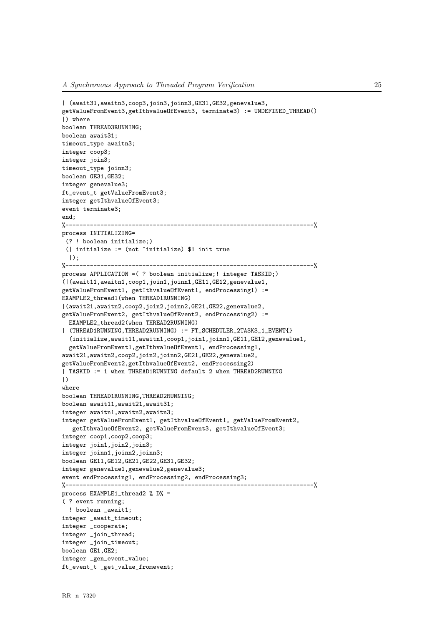```
| (await31,awaitn3,coop3,join3,joinn3,GE31,GE32,genevalue3,
getValueFromEvent3,getIthvalueOfEvent3, terminate3) := UNDEFINED_THREAD()
|) where
boolean THREAD3RUNNING;
boolean await31;
timeout_type awaitn3;
integer coop3;
integer join3;
timeout_type joinn3;
boolean GE31,GE32;
integer genevalue3;
ft_event_t getValueFromEvent3;
integer getIthvalueOfEvent3;
event terminate3;
end;
%-----------------------------------------------------------------------%
process INITIALIZING=
 (? ! boolean initialize;)
 (| initialize := (not ^initialize) $1 init true
  |):
%-----------------------------------------------------------------------%
process APPLICATION =( ? boolean initialize;! integer TASKID;)
(|(await11,awaitn1,coop1,join1,joinn1,GE11,GE12,genevalue1,
getValueFromEvent1, getIthvalueOfEvent1, endProcessing1) :=
EXAMPLE2_thread1(when THREAD1RUNNING)
|(await21,awaitn2,coop2,join2,joinn2,GE21,GE22,genevalue2,
getValueFromEvent2, getIthvalueOfEvent2, endProcessing2) :=
  EXAMPLE2_thread2(when THREAD2RUNNING)
| (THREAD1RUNNING,THREAD2RUNNING) := FT_SCHEDULER_2TASKS_1_EVENT{}
  (initialize,await11,awaitn1,coop1,join1,joinn1,GE11,GE12,genevalue1,
  getValueFromEvent1,getIthvalueOfEvent1, endProcessing1,
await21,awaitn2,coop2,join2,joinn2,GE21,GE22,genevalue2,
getValueFromEvent2,getIthvalueOfEvent2, endProcessing2)
| TASKID := 1 when THREAD1RUNNING default 2 when THREAD2RUNNING
|)
where
boolean THREAD1RUNNING,THREAD2RUNNING;
boolean await11,await21,await31;
integer awaitn1,awaitn2,awaitn3;
integer getValueFromEvent1, getIthvalueOfEvent1, getValueFromEvent2,
   getIthvalueOfEvent2, getValueFromEvent3, getIthvalueOfEvent3;
integer coop1,coop2,coop3;
integer join1,join2,join3;
integer joinn1,joinn2,joinn3;
boolean GE11,GE12,GE21,GE22,GE31,GE32;
integer genevalue1,genevalue2,genevalue3;
event endProcessing1, endProcessing2, endProcessing3;
%-----------------------------------------------------------------------%
process EXAMPLE1 thread2 % D% =
( ? event running;
  ! boolean _await1;
integer _await_timeout;
integer _cooperate;
integer _join_thread;
integer _join_timeout;
boolean GE1,GE2;
integer _gen_event_value;
ft_event_t _get_value_fromevent;
```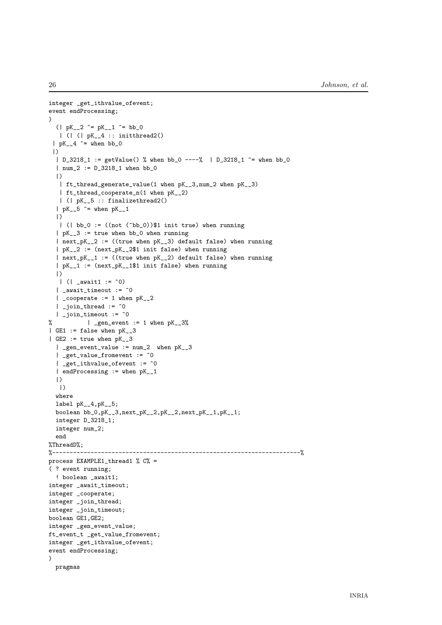```
integer _get_ithvalue_ofevent;
event endProcessing;
)
  (| pK_{-2}^2 \rangle = pK_{-1}^2 \rangle = b b_0| ( | 0 K_4 + 4 : : 1 + 1)| pK_4 \rangle = when bb_0
 |)
  | D_3218_1 := getValue() % when bb_0 ----% | D_3218_1 = when bb_0
  | num_2 := D_3218_1 when bb_0
  |)| ft_thread_generate_value(1 when pK__3,num_2 when pK__3)
   | ft_thread_cooperate_n(1 when pK__2)
  | (| pK__5 :: finalizethread2()
  | pK_{-}5 ^= when pK_{-}1|)
  | (| bb_0 := ((not (\hat{b}bb_0))$1 init true) when running
  | pK_3| := true when bb 0 when running
  | next_pK_2 := ((true when pK_3) default false) when running| pK_2| := (next_pK_244 \text{ init false}) when running
  | next_pK__1 := ((true when pK__2) default false) when running
  | pK__1 := (next_pK__1$1 init false) when running
  |)
  | (| _await1 := ^{\circ}0)
  | _await_timeout := ^0
  | _cooperate := 1 when pK_{-2}\vert _join_thread := \hat{0}| _join_timeout := ^0
% | _gen_event := 1 when pK_23%
| GE1 := false when pK__3
| GE2 := true when pK_{-}3| _gen_event_value := num_2 when pK__3
  | _get_value_fromevent := ^0
  | _get_ithvalue_ofevent := ^0
  | endProcessing := when pK__1
  |)
  |)
  where
  label pK__4,pK__5;
  boolean bb_0,pK_3,next\_pK_2,pK_2,pK_2,next\_pK_1,pK_1,pK_1;integer D_3218_1;
  integer num_2;
  end
%ThreadD%;
%-----------------------------------------------------------------------%
process EXAMPLE1_thread1 % C% =
( ? event running;
  ! boolean await1:
integer _await_timeout;
integer _cooperate;
integer _join_thread;
integer _join_timeout;
boolean GE1,GE2;
integer _gen_event_value;
ft_event_t _get_value_fromevent;
integer _get_ithvalue_ofevent;
event endProcessing;
)
 pragmas
```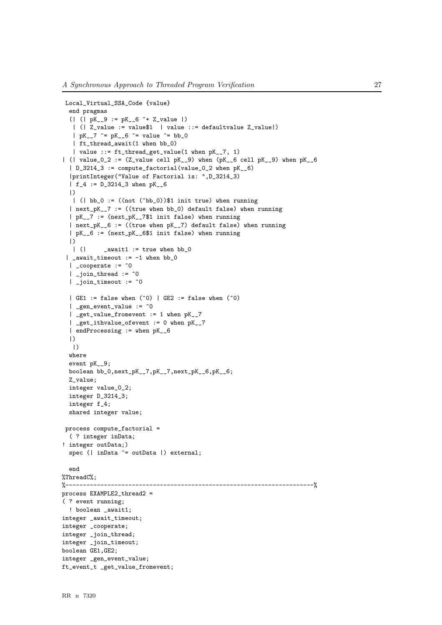```
Local_Virtual_SSA_Code {value}
  end pragmas
  (| ( | pK_2 9 := pK_6 - 6 ) + Z_0 value |)
   | (| Z_value := value$1 | value ::= defaultvalue Z_value|)
   | pK 7 \hat{ } = pK 6 \hat{ } = value \hat{ } = bb 0
   | ft_thread_await(1 when bb_0)
   | value ::= ft_thread_get_value(1 when pK__7, 1)
| (| value_0_2 := (Z_value cell pK__9) when (pK_{-6} cell pK__9) when pK_{-6}| D_3214_3 := compute_factorial(value_0_2 when pK__6)
  |printInteger("Value of Factorial is: ",D_3214_3)
  | f_4 := D_3214_3 when pK__6
  |)
  | (| bb_0 := ((not (\hat{b}bb_0))$1 init true) when running
  | next_pK__7 := ((true when bb_0) default false) when running
  | pK__7 := (next_pK__7$1 init false) when running
  | next_pK__6 := ((true when pK__7) default false) when running
  | pK__6 := (next_pK__6$1 init false) when running
  |)
   | (| _await1 := true when bb_0\vert _await_timeout := -1 when bb_0
  | _cooperate := \hat{0}| _join_thread := \hat{0}| _join_timeout := ^0
  | GE1 := false when (°0) | GE2 := false when (°0)\int gen_event_value := \hat{0}| _get_value_fromevent := 1 when pK__7
  | _get_ithvalue_ofevent := 0 when pK__7
  | endProcessing := when pK__6
  |)
  |)where
  event pK__9;
  boolean bb_0,next_pK__7,pK__7,next_pK__6,pK__6;
  Z_value;
  integer value_0_2;
  integer D_3214_3;
  integer f_4;
  shared integer value;
 process compute_factorial =
  ( ? integer inData;
! integer outData;)
  spec (| inData ^= outData |) external;
  end
%ThreadC%;
%-----------------------------------------------------------------------%
process EXAMPLE2_thread2 =
( ? event running;
  ! boolean _await1;
integer _await_timeout;
integer _cooperate;
integer _join_thread;
integer _join_timeout;
boolean GE1,GE2;
integer _gen_event_value;
ft_event_t _get_value_fromevent;
```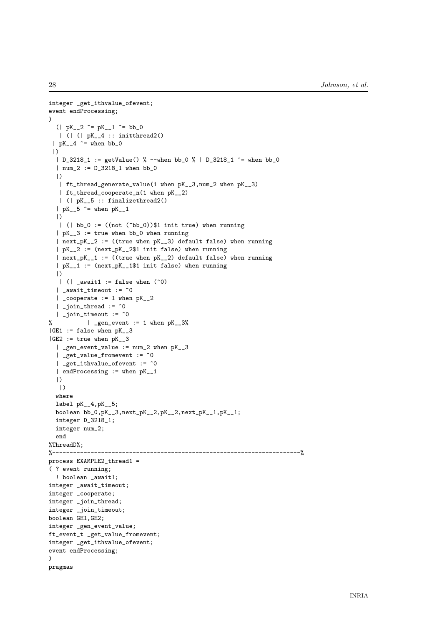```
integer _get_ithvalue_ofevent;
event endProcessing;
)
  (| pK_{-2}^2 \rangle = pK_{-1}^2 \rangle = b b_0| ( | 0 K_4 + 4 : : 1 + 1)| pK_4 \rangle = when bb_0
 |)
  | D_3218_1 := getValue() % --when bb_0 % | D_3218_1 ^= when bb_0
  | num_2 := D_3218_1 when bb_0
  |)
  | ft_thread_generate_value(1 when pK__3,num_2 when pK__3)
   | ft_thread_cooperate_n(1 when pK__2)
  | (| pK__5 :: finalizethread2()
  | pK_{-}5 ^= when pK_{-}1|)
   | (| bb_0 := ((not (\hat{b}bb_0))$1 init true) when running
  | pK_3| := true when bb 0 when running
  | next_pK_2 := ((true when pK_3) default false) when running| pK_2| := (next_pK_244 \text{ init false}) when running
  | next_pK__1 := ((true when pK__2) default false) when running
  | pK__1 := (next_pK__1$1 init false) when running
  |)
  | (| _await1 := false when (°0)| _await_timeout := ^0
  | _cooperate := 1 when pK_{-2}| _join_thread := \hat{0}| _join_timeout := ^0
% | _gen_event := 1 when pK_{-}3%|GE1| := false when pK_2 3
|GE2| := true when pK_3| _gen_event_value := num_2 when pK__3
  | _get_value_fromevent := ^0
  | _get_ithvalue_ofevent := ^0
  | endProcessing := when pK__1
  |)
  |)
  where
  label pK__4,pK__5;
  boolean bb_0,pK_3,next\_pK_2,pK_2,pK_2,next\_pK_1,pK_1,pK_1;integer D_3218_1;
  integer num_2;
  end
%ThreadD%;
%-----------------------------------------------------------------------%
process EXAMPLE2_thread1 =
( ? event running;
  ! boolean await1:
integer _await_timeout;
integer _cooperate;
integer _join_thread;
integer _join_timeout;
boolean GE1,GE2;
integer _gen_event_value;
ft_event_t _get_value_fromevent;
integer _get_ithvalue_ofevent;
event endProcessing;
)
pragmas
```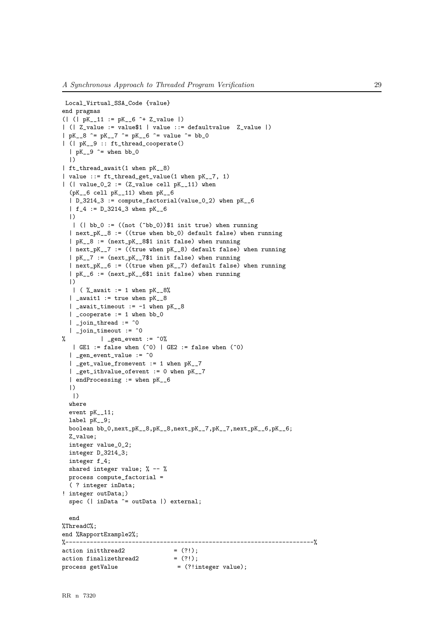```
Local_Virtual_SSA_Code {value}
end pragmas
(| (| pK__11 := pK__6 ^+ Z_value |)
| (| Z_value := value$1 | value ::= defaultvalue Z_value |)
| pK_{-8} ^= pK_{-7} ^= pK_{-6} ^= value ^= bb_{0}| (| pK__9 :: ft_thread_cooperate()
  | pK_{-}9 \approx when bb_0
  |)
| ft_thread_await(1 when pK__8)
| value ::= ft_thread_get_value(1 when pK__7, 1)
| (| value_0_2 := (Z_value cell pK_11) when
  (pK__6 cell pK__11) when pK__6
  | D_3214_3 := compute_factorial(value_0_2) when pK__6
  | f_4 := D_3214_3 when pK__6
  |)
   | ( | bb_0 := ((not (^bbb_0))\$1 init true) when running
  | next_pK_8 := ((true when bb_0) default false) when running| pK__8 := (next_pK__8$1 init false) when running
  | next_pK__7 := ((true when pK__8) default false) when running
  | pK__7 := (next_pK__7$1 init false) when running
  | next_pK__6 := ((true when pK__7) default false) when running
  | pK__6 := (next_pK__6$1 init false) when running
  |)
  | ( \frac{6}{2} await := 1 when pK_{-8}%)
  | _await1 := true when pK_{-8}| _await_timeout := -1 when pK_8| _cooperate := 1 when bb_0
  | _join_thread := \hat{0}| _join_timeout := ^0
% | _gen_event := ^{\circ}0%
   | GE1 := false when (°0) | GE2 := false when (°0)\int gen_event_value := \hat{0}| _get_value_fromevent := 1 when pK__7
  | _get_ithvalue_ofevent := 0 when pK__7
  | endProcessing := when pK__6
  |)
   |)
  where
  event pK__11;
  label pK__9;
  boolean bb_0,next_pK__8,pK__8,next_pK__7,pK__7,next_pK__6,pK__6;
  Z_value;
  integer value_0_2;
  integer D_3214_3;
  integer f_4;
  shared integer value; % -- %
  process compute factorial =( ? integer inData;
! integer outData;)
  spec (| inData ^= outData |) external;
  end
%ThreadC%;
end %RapportExample2%;
%-----------------------------------------------------------------------%
action initthread2
\text{action finalizethread2} = (?!);
process getValue = (?!integer value);
```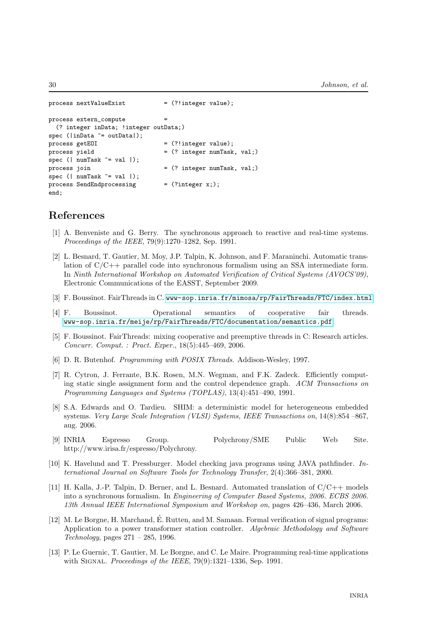```
process nextValueExist = (?!integer value);
process extern_compute =
 (? integer inData; !integer outData;)
spec (\in Data ^= outDatal):
process getEOI = (?!integer value);
process yield = (? integer numTask, val;)
spec (| numTask \hat{=} val |);
process join = (? integer numTask, val;)
spec (| numTask ^= val |);
process SendEndprocessing = (?integer x;);
end;
```
## <span id="page-32-0"></span>References

- [1] A. Benveniste and G. Berry. The synchronous approach to reactive and real-time systems. Proceedings of the IEEE, 79(9):1270–1282, Sep. 1991.
- <span id="page-32-7"></span>[2] L. Besnard, T. Gautier, M. Moy, J.P. Talpin, K. Johnson, and F. Maraninchi. Automatic translation of C/C++ parallel code into synchronous formalism using an SSA intermediate form. In Ninth International Workshop on Automated Verification of Critical Systems (AVOCS'09), Electronic Communications of the EASST, September 2009.
- <span id="page-32-5"></span><span id="page-32-3"></span>[3] F. Boussinot. FairThreads in C. <www-sop.inria.fr/mimosa/rp/FairThreads/FTC/index.html>.
- [4] F. Boussinot. Operational semantics of cooperative fair threads. <www-sop.inria.fr/meije/rp/FairThreads/FTC/documentation/semantics.pdf>.
- <span id="page-32-4"></span>[5] F. Boussinot. FairThreads: mixing cooperative and preemptive threads in C: Research articles. Concurr. Comput. : Pract. Exper., 18(5):445–469, 2006.
- <span id="page-32-2"></span>[6] D. R. Butenhof. Programming with POSIX Threads. Addison-Wesley, 1997.
- [7] R. Cytron, J. Ferrante, B.K. Rosen, M.N. Wegman, and F.K. Zadeck. Efficiently computing static single assignment form and the control dependence graph. ACM Transactions on Programming Languages and Systems (TOPLAS), 13(4):451–490, 1991.
- <span id="page-32-8"></span>[8] S.A. Edwards and O. Tardieu. SHIM: a deterministic model for heterogeneous embedded systems. Very Large Scale Integration (VLSI) Systems, IEEE Transactions on, 14(8):854 –867, aug. 2006.
- [9] INRIA Espresso Group. Polychrony/SME Public Web Site. http://www.irisa.fr/espresso/Polychrony.
- <span id="page-32-1"></span>[10] K. Havelund and T. Pressburger. Model checking java programs using JAVA pathfinder. International Journal on Software Tools for Technology Transfer, 2(4):366–381, 2000.
- <span id="page-32-6"></span>[11] H. Kalla, J.-P. Talpin, D. Berner, and L. Besnard. Automated translation of  $C/C++$  models into a synchronous formalism. In Engineering of Computer Based Systems, 2006. ECBS 2006. 13th Annual IEEE International Symposium and Workshop on, pages 426–436, March 2006.
- $[12]$  M. Le Borgne, H. Marchand, É. Rutten, and M. Samaan. Formal verification of signal programs: Application to a power transformer station controller. Algebraic Methodology and Software Technology, pages 271 – 285, 1996.
- [13] P. Le Guernic, T. Gautier, M. Le Borgne, and C. Le Maire. Programming real-time applications with SIGNAL. Proceedings of the IEEE,  $79(9)$ :1321–1336, Sep. 1991.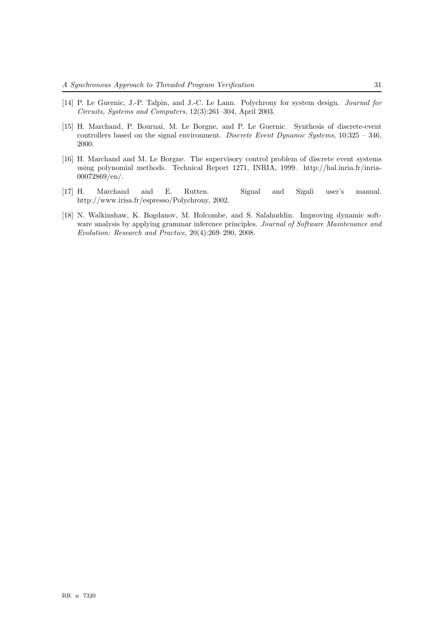- <span id="page-33-1"></span>[14] P. Le Guernic, J.-P. Talpin, and J.-C. Le Lann. Polychrony for system design. *Journal for* Circuits, Systems and Computers, 12(3):261–304, April 2003.
- [15] H. Marchand, P. Bournai, M. Le Borgne, and P. Le Guernic. Synthesis of discrete-event controllers based on the signal environment. Discrete Event Dynamic Systems,  $10:325 - 346$ , 2000.
- [16] H. Marchand and M. Le Borgne. The supervisory control problem of discrete event systems using polynomial methods. Technical Report 1271, INRIA, 1999. http://hal.inria.fr/inria-00072869/en/.
- <span id="page-33-2"></span>[17] H. Marchand and E. Rutten. Signal and Sigali user's manual. http://www.irisa.fr/espresso/Polychrony, 2002.
- <span id="page-33-0"></span>[18] N. Walkinshaw, K. Bogdanov, M. Holcombe, and S. Salahuddin. Improving dynamic software analysis by applying grammar inference principles. Journal of Software Maintenance and Evolution: Research and Practice, 20(4):269–290, 2008.